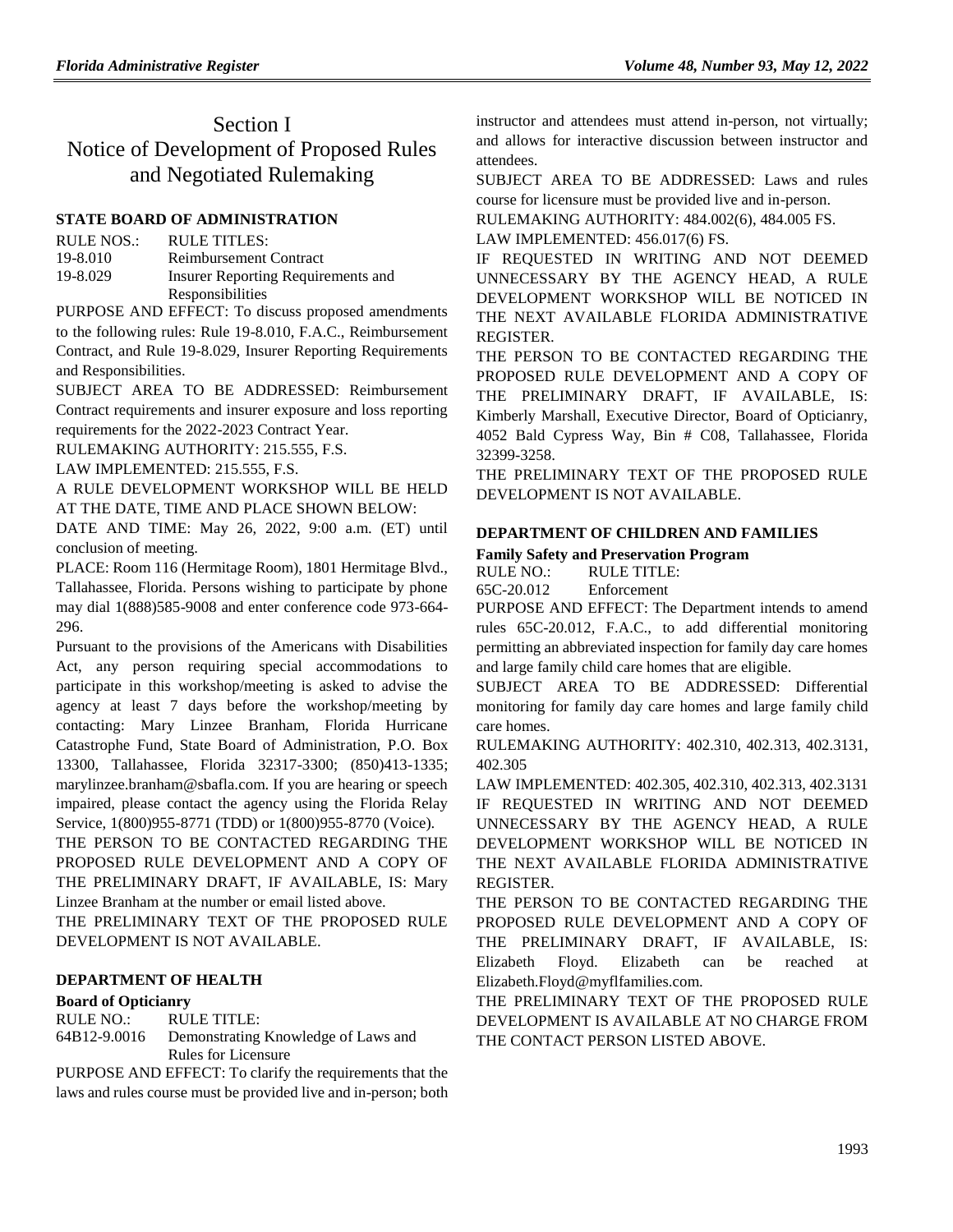# Section I Notice of Development of Proposed Rules and Negotiated Rulemaking

#### **[STATE BOARD OF ADMINISTRATION](https://www.flrules.org/gateway/department.asp?id=19)**

| <b>RULE NOS.:</b> | RULE TITLES:                       |
|-------------------|------------------------------------|
| 19-8.010          | <b>Reimbursement Contract</b>      |
| 19-8.029          | Insurer Reporting Requirements and |
|                   | Responsibilities                   |

PURPOSE AND EFFECT: To discuss proposed amendments to the following rules: Rule 19-8.010, F.A.C., Reimbursement Contract, and Rule 19-8.029, Insurer Reporting Requirements and Responsibilities.

SUBJECT AREA TO BE ADDRESSED: Reimbursement Contract requirements and insurer exposure and loss reporting requirements for the 2022-2023 Contract Year.

RULEMAKING AUTHORITY: [215.555,](https://www.flrules.org/gateway/statute.asp?id=215.555) F.S.

LAW IMPLEMENTED: [215.555,](https://www.flrules.org/gateway/statute.asp?id=215.555) F.S.

A RULE DEVELOPMENT WORKSHOP WILL BE HELD AT THE DATE, TIME AND PLACE SHOWN BELOW:

DATE AND TIME: May 26, 2022, 9:00 a.m. (ET) until conclusion of meeting.

PLACE: Room 116 (Hermitage Room), 1801 Hermitage Blvd., Tallahassee, Florida. Persons wishing to participate by phone may dial 1(888)585-9008 and enter conference code 973-664- 296.

Pursuant to the provisions of the Americans with Disabilities Act, any person requiring special accommodations to participate in this workshop/meeting is asked to advise the agency at least 7 days before the workshop/meeting by contacting: Mary Linzee Branham, Florida Hurricane Catastrophe Fund, State Board of Administration, P.O. Box 13300, Tallahassee, Florida 32317-3300; (850)413-1335; marylinzee.branham@sbafla.com. If you are hearing or speech impaired, please contact the agency using the Florida Relay Service, 1(800)955-8771 (TDD) or 1(800)955-8770 (Voice).

THE PERSON TO BE CONTACTED REGARDING THE PROPOSED RULE DEVELOPMENT AND A COPY OF THE PRELIMINARY DRAFT, IF AVAILABLE, IS: Mary Linzee Branham at the number or email listed above.

THE PRELIMINARY TEXT OF THE PROPOSED RULE DEVELOPMENT IS NOT AVAILABLE.

#### **[DEPARTMENT OF HEALTH](https://www.flrules.org/gateway/department.asp?id=64)**

#### **[Board of Opticianry](https://www.flrules.org/gateway/organization.asp?id=303)**

RULE NO.: RULE TITLE:

[64B12-9.0016](https://www.flrules.org/gateway/ruleNo.asp?id=64B12-9.0016) Demonstrating Knowledge of Laws and Rules for Licensure

PURPOSE AND EFFECT: To clarify the requirements that the laws and rules course must be provided live and in-person; both instructor and attendees must attend in-person, not virtually; and allows for interactive discussion between instructor and attendees.

SUBJECT AREA TO BE ADDRESSED: Laws and rules course for licensure must be provided live and in-person.

RULEMAKING AUTHORITY: [484.002\(6\),](https://www.flrules.org/gateway/statute.asp?id=484.002(6)) [484.005 FS.](https://www.flrules.org/gateway/statute.asp?id=%20484.005%20FS.)

LAW IMPLEMENTED: [456.017\(6\) FS.](https://www.flrules.org/gateway/statute.asp?id=456.017(6)%20FS.)

IF REQUESTED IN WRITING AND NOT DEEMED UNNECESSARY BY THE AGENCY HEAD, A RULE DEVELOPMENT WORKSHOP WILL BE NOTICED IN THE NEXT AVAILABLE FLORIDA ADMINISTRATIVE REGISTER.

THE PERSON TO BE CONTACTED REGARDING THE PROPOSED RULE DEVELOPMENT AND A COPY OF THE PRELIMINARY DRAFT, IF AVAILABLE, IS: Kimberly Marshall, Executive Director, Board of Opticianry, 4052 Bald Cypress Way, Bin # C08, Tallahassee, Florida 32399-3258.

THE PRELIMINARY TEXT OF THE PROPOSED RULE DEVELOPMENT IS NOT AVAILABLE.

#### **[DEPARTMENT OF CHILDREN AND FAMILIES](https://www.flrules.org/gateway/department.asp?id=65)**

#### **[Family Safety and Preservation Program](https://www.flrules.org/gateway/organization.asp?id=342)**

RULE NO.: RULE TITLE:

[65C-20.012](https://www.flrules.org/gateway/ruleNo.asp?id=65C-20.012) Enforcement

PURPOSE AND EFFECT: The Department intends to amend rules 65C-20.012, F.A.C., to add differential monitoring permitting an abbreviated inspection for family day care homes and large family child care homes that are eligible.

SUBJECT AREA TO BE ADDRESSED: Differential monitoring for family day care homes and large family child care homes.

RULEMAKING AUTHORITY: [402.310, 402.313, 402.3131,](https://www.flrules.org/gateway/cfr.asp?id=402.310,%20402.313,%20402.3131,%20402.305)  [402.305](https://www.flrules.org/gateway/cfr.asp?id=402.310,%20402.313,%20402.3131,%20402.305)

LAW IMPLEMENTED: [402.305, 402.310, 402.313, 402.3131](https://www.flrules.org/gateway/cfr.asp?id=402.305,%20402.310,%20402.313,%20402.3131) IF REQUESTED IN WRITING AND NOT DEEMED UNNECESSARY BY THE AGENCY HEAD, A RULE DEVELOPMENT WORKSHOP WILL BE NOTICED IN THE NEXT AVAILABLE FLORIDA ADMINISTRATIVE REGISTER.

THE PERSON TO BE CONTACTED REGARDING THE PROPOSED RULE DEVELOPMENT AND A COPY OF THE PRELIMINARY DRAFT, IF AVAILABLE, IS: Elizabeth Floyd. Elizabeth can be reached at Elizabeth.Floyd@myflfamilies.com.

THE PRELIMINARY TEXT OF THE PROPOSED RULE DEVELOPMENT IS AVAILABLE AT NO CHARGE FROM THE CONTACT PERSON LISTED ABOVE.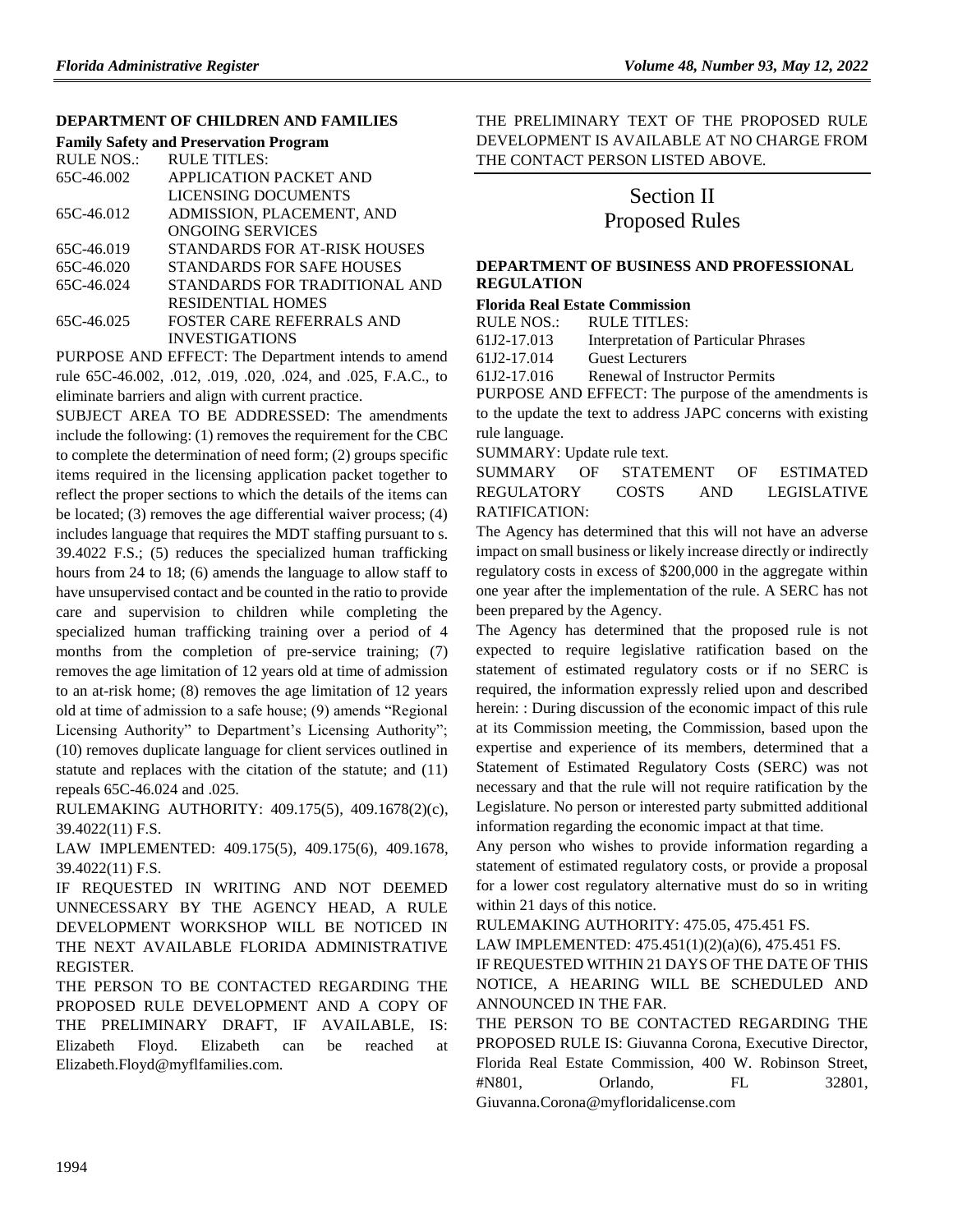#### **[DEPARTMENT OF CHILDREN AND FAMILIES](https://www.flrules.org/gateway/department.asp?id=65)**

| <b>Family Safety and Preservation Program</b> |  |  |  |
|-----------------------------------------------|--|--|--|
| <b>RULE TITLES:</b>                           |  |  |  |
| <b>APPLICATION PACKET AND</b>                 |  |  |  |
| LICENSING DOCUMENTS                           |  |  |  |
| ADMISSION, PLACEMENT, AND                     |  |  |  |
| ONGOING SERVICES                              |  |  |  |
| STANDARDS FOR AT-RISK HOUSES                  |  |  |  |
| STANDARDS FOR SAFE HOUSES                     |  |  |  |
| STANDARDS FOR TRADITIONAL AND                 |  |  |  |
| <b>RESIDENTIAL HOMES</b>                      |  |  |  |
| FOSTER CARE REFERRALS AND                     |  |  |  |
| <b>INVESTIGATIONS</b>                         |  |  |  |
|                                               |  |  |  |

PURPOSE AND EFFECT: The Department intends to amend rule 65C-46.002, .012, .019, .020, .024, and .025, F.A.C., to eliminate barriers and align with current practice.

SUBJECT AREA TO BE ADDRESSED: The amendments include the following: (1) removes the requirement for the CBC to complete the determination of need form; (2) groups specific items required in the licensing application packet together to reflect the proper sections to which the details of the items can be located; (3) removes the age differential waiver process; (4) includes language that requires the MDT staffing pursuant to s. 39.4022 F.S.; (5) reduces the specialized human trafficking hours from 24 to 18; (6) amends the language to allow staff to have unsupervised contact and be counted in the ratio to provide care and supervision to children while completing the specialized human trafficking training over a period of 4 months from the completion of pre-service training; (7) removes the age limitation of 12 years old at time of admission to an at-risk home; (8) removes the age limitation of 12 years old at time of admission to a safe house; (9) amends "Regional Licensing Authority" to Department's Licensing Authority"; (10) removes duplicate language for client services outlined in statute and replaces with the citation of the statute; and (11) repeals 65C-46.024 and .025.

RULEMAKING AUTHORITY: [409.175\(5\),](https://www.flrules.org/gateway/statute.asp?id=409.175(5)) [409.1678\(2\)\(c\),](https://www.flrules.org/gateway/statute.asp?id=%20409.1678(2)(c)) [39.4022\(11\) F.S.](https://www.flrules.org/gateway/statute.asp?id=%2039.4022(11)%20F.S.)

LAW IMPLEMENTED: [409.175\(5\),](https://www.flrules.org/gateway/statute.asp?id=409.175(5)) [409.175\(6\),](https://www.flrules.org/gateway/statute.asp?id=%20409.175(6)) [409.1678,](https://www.flrules.org/gateway/statute.asp?id=%20409.1678) [39.4022\(11\) F.S.](https://www.flrules.org/gateway/statute.asp?id=%2039.4022(11)%20F.S.)

IF REQUESTED IN WRITING AND NOT DEEMED UNNECESSARY BY THE AGENCY HEAD, A RULE DEVELOPMENT WORKSHOP WILL BE NOTICED IN THE NEXT AVAILABLE FLORIDA ADMINISTRATIVE REGISTER.

THE PERSON TO BE CONTACTED REGARDING THE PROPOSED RULE DEVELOPMENT AND A COPY OF THE PRELIMINARY DRAFT, IF AVAILABLE, IS: Elizabeth Floyd. Elizabeth can be reached at Elizabeth.Floyd@myflfamilies.com.

THE PRELIMINARY TEXT OF THE PROPOSED RULE DEVELOPMENT IS AVAILABLE AT NO CHARGE FROM THE CONTACT PERSON LISTED ABOVE.

## Section II Proposed Rules

#### **[DEPARTMENT OF BUSINESS AND PROFESSIONAL](https://www.flrules.org/gateway/department.asp?id=61)  [REGULATION](https://www.flrules.org/gateway/department.asp?id=61)**

#### **[Florida Real Estate Commission](https://www.flrules.org/gateway/organization.asp?id=283)**

RULE NOS.: RULE TITLES:

[61J2-17.013](https://www.flrules.org/gateway/ruleNo.asp?id=61J2-17.013) Interpretation of Particular Phrases

[61J2-17.014](https://www.flrules.org/gateway/ruleNo.asp?id=61J2-17.014) Guest Lecturers

[61J2-17.016](https://www.flrules.org/gateway/ruleNo.asp?id=61J2-17.016) Renewal of Instructor Permits

PURPOSE AND EFFECT: The purpose of the amendments is to the update the text to address JAPC concerns with existing rule language.

SUMMARY: Update rule text.

SUMMARY OF STATEMENT OF ESTIMATED REGULATORY COSTS AND LEGISLATIVE RATIFICATION:

The Agency has determined that this will not have an adverse impact on small business or likely increase directly or indirectly regulatory costs in excess of \$200,000 in the aggregate within one year after the implementation of the rule. A SERC has not been prepared by the Agency.

The Agency has determined that the proposed rule is not expected to require legislative ratification based on the statement of estimated regulatory costs or if no SERC is required, the information expressly relied upon and described herein: : During discussion of the economic impact of this rule at its Commission meeting, the Commission, based upon the expertise and experience of its members, determined that a Statement of Estimated Regulatory Costs (SERC) was not necessary and that the rule will not require ratification by the Legislature. No person or interested party submitted additional information regarding the economic impact at that time.

Any person who wishes to provide information regarding a statement of estimated regulatory costs, or provide a proposal for a lower cost regulatory alternative must do so in writing within 21 days of this notice.

RULEMAKING AUTHORITY: [475.05,](https://www.flrules.org/gateway/statute.asp?id=475.05) [475.451 FS.](https://www.flrules.org/gateway/statute.asp?id=%20475.451%20FS.)

LAW IMPLEMENTED: [475.451\(1\)\(2\)\(a\)\(6\),](https://www.flrules.org/gateway/statute.asp?id=475.451(1)(2)(a)(6)) [475.451 FS.](https://www.flrules.org/gateway/statute.asp?id=%20475.451%20FS.) IF REQUESTED WITHIN 21 DAYS OF THE DATE OF THIS NOTICE, A HEARING WILL BE SCHEDULED AND

ANNOUNCED IN THE FAR.

THE PERSON TO BE CONTACTED REGARDING THE PROPOSED RULE IS: Giuvanna Corona, Executive Director, Florida Real Estate Commission, 400 W. Robinson Street, #N801, Orlando, FL 32801, Giuvanna.Corona@myfloridalicense.com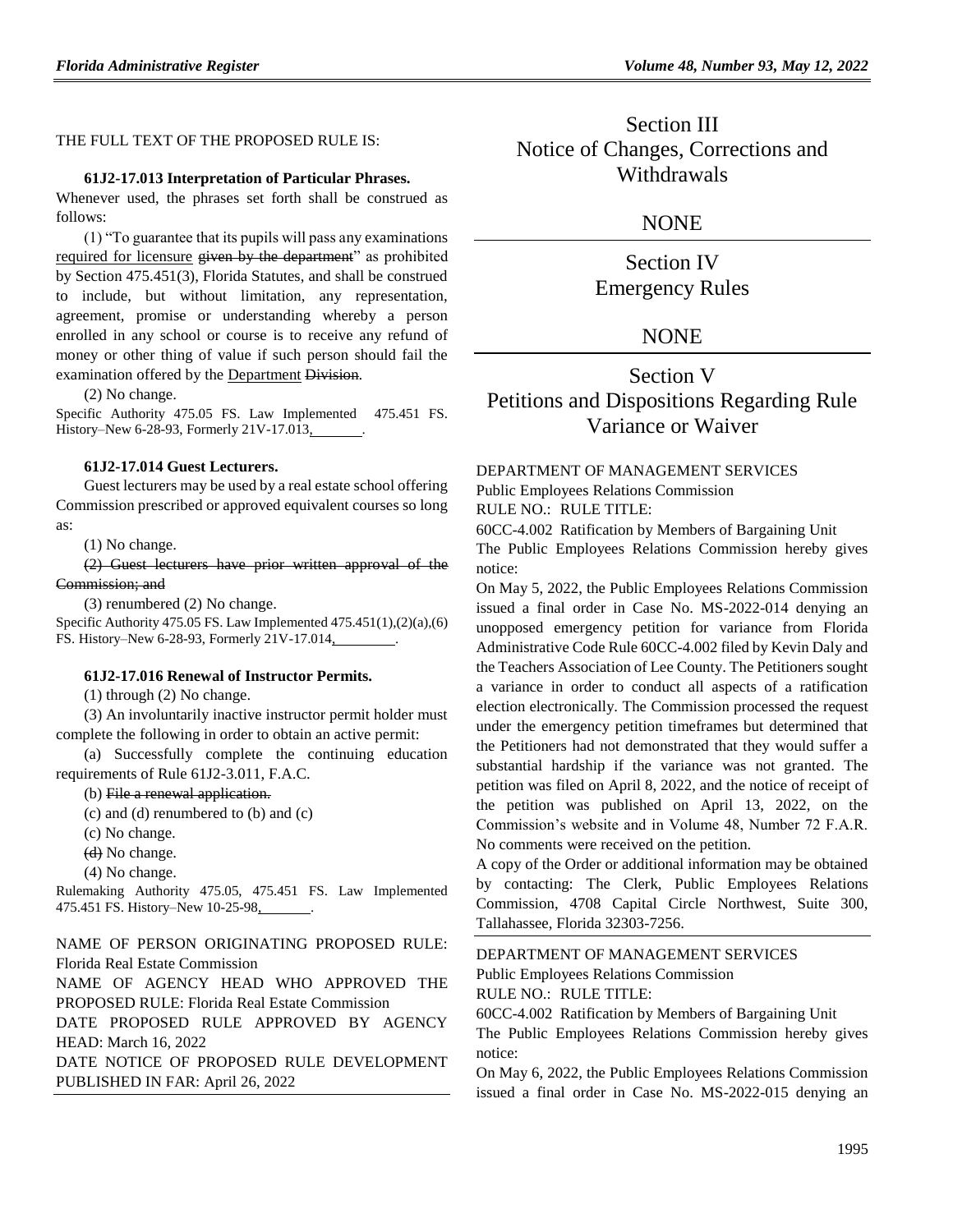#### THE FULL TEXT OF THE PROPOSED RULE IS:

#### **61J2-17.013 Interpretation of Particular Phrases.**

Whenever used, the phrases set forth shall be construed as follows:

#### (1) "To guarantee that its pupils will pass any examinations required for licensure given by the department" as prohibited by Section 475.451(3), Florida Statutes, and shall be construed to include, but without limitation, any representation, agreement, promise or understanding whereby a person enrolled in any school or course is to receive any refund of money or other thing of value if such person should fail the examination offered by the Department Division.

(2) No change.

Specific Authority 475.05 FS. Law Implemented 475.451 FS. History–New 6-28-93, Formerly 21V-17.013,

#### **61J2-17.014 Guest Lecturers.**

Guest lecturers may be used by a real estate school offering Commission prescribed or approved equivalent courses so long as:

(1) No change.

(2) Guest lecturers have prior written approval of the Commission; and

(3) renumbered (2) No change.

Specific Authority 475.05 FS. Law Implemented 475.451(1),(2)(a),(6) FS. History–New 6-28-93, Formerly 21V-17.014,

#### **61J2-17.016 Renewal of Instructor Permits.**

(1) through (2) No change.

(3) An involuntarily inactive instructor permit holder must complete the following in order to obtain an active permit:

(a) Successfully complete the continuing education requirements of Rule 61J2-3.011, F.A.C.

(b) File a renewal application.

(c) and (d) renumbered to (b) and (c)

- (c) No change.
- (d) No change.
- (4) No change.

Rulemaking Authority 475.05, 475.451 FS. Law Implemented 475.451 FS. History–New 10-25-98, .

NAME OF PERSON ORIGINATING PROPOSED RULE: Florida Real Estate Commission

NAME OF AGENCY HEAD WHO APPROVED THE PROPOSED RULE: Florida Real Estate Commission

DATE PROPOSED RULE APPROVED BY AGENCY HEAD: March 16, 2022

DATE NOTICE OF PROPOSED RULE DEVELOPMENT PUBLISHED IN FAR: April 26, 2022

Section III Notice of Changes, Corrections and Withdrawals

### **NONE**

Section IV Emergency Rules

### **NONE**

# Section V Petitions and Dispositions Regarding Rule Variance or Waiver

# [DEPARTMENT OF MANAGEMENT SERVICES](https://www.flrules.org/gateway/department.asp?id=60)

[Public Employees Relations Commission](https://www.flrules.org/gateway/organization.asp?id=502)

RULE NO.: RULE TITLE:

[60CC-4.002](https://www.flrules.org/gateway/ruleNo.asp?id=60CC-4.002) Ratification by Members of Bargaining Unit The Public Employees Relations Commission hereby gives notice:

On May 5, 2022, the Public Employees Relations Commission issued a final order in Case No. MS-2022-014 denying an unopposed emergency petition for variance from Florida Administrative Code Rule 60CC-4.002 filed by Kevin Daly and the Teachers Association of Lee County. The Petitioners sought a variance in order to conduct all aspects of a ratification election electronically. The Commission processed the request under the emergency petition timeframes but determined that the Petitioners had not demonstrated that they would suffer a substantial hardship if the variance was not granted. The petition was filed on April 8, 2022, and the notice of receipt of the petition was published on April 13, 2022, on the Commission's website and in Volume 48, Number 72 F.A.R. No comments were received on the petition.

A copy of the Order or additional information may be obtained by contacting: The Clerk, Public Employees Relations Commission, 4708 Capital Circle Northwest, Suite 300, Tallahassee, Florida 32303-7256.

#### [DEPARTMENT OF MANAGEMENT SERVICES](https://www.flrules.org/gateway/department.asp?id=60)

[Public Employees Relations Commission](https://www.flrules.org/gateway/organization.asp?id=502)

RULE NO.: RULE TITLE:

[60CC-4.002](https://www.flrules.org/gateway/ruleNo.asp?id=60CC-4.002) Ratification by Members of Bargaining Unit The Public Employees Relations Commission hereby gives notice:

On May 6, 2022, the Public Employees Relations Commission issued a final order in Case No. MS-2022-015 denying an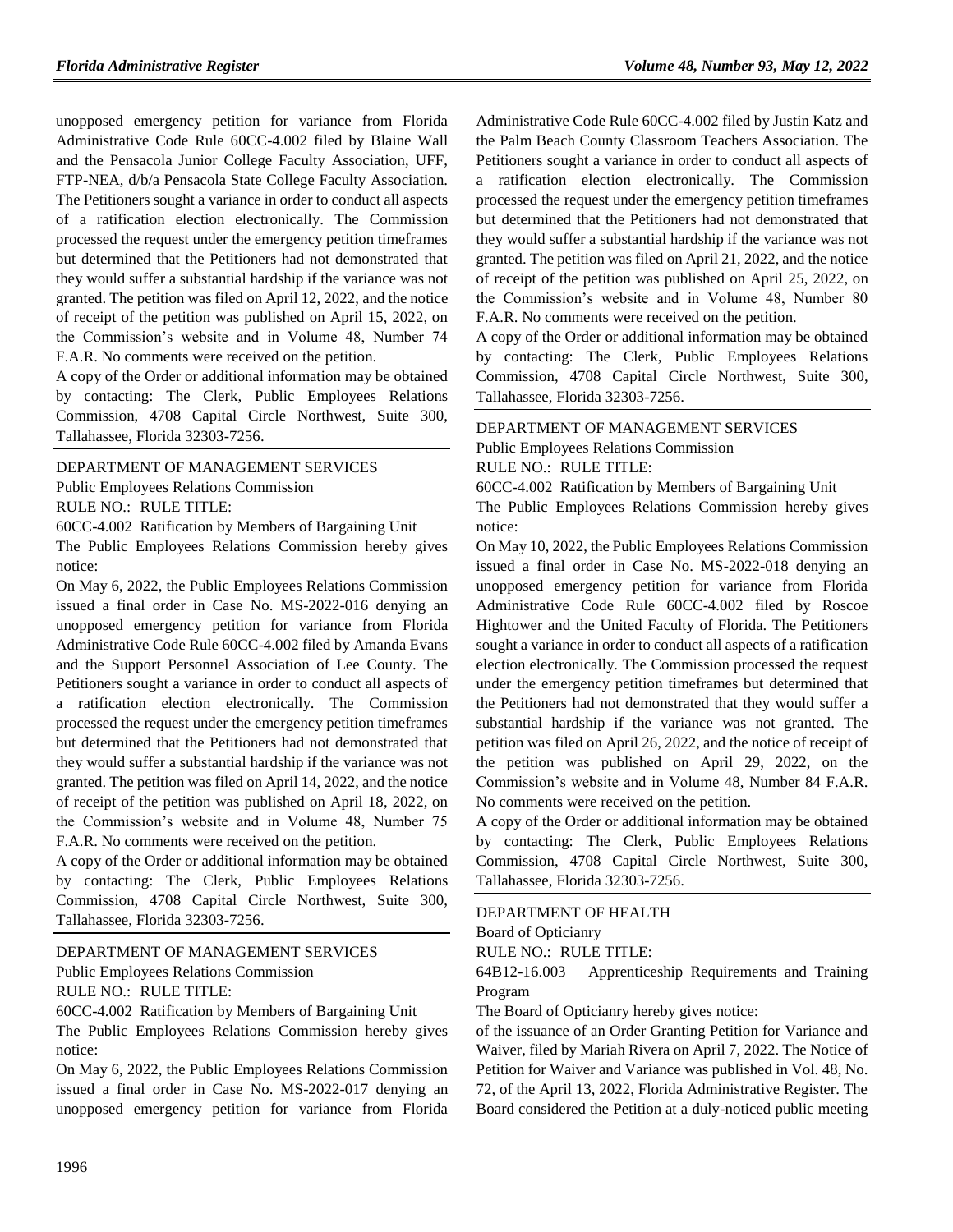unopposed emergency petition for variance from Florida Administrative Code Rule 60CC-4.002 filed by Blaine Wall and the Pensacola Junior College Faculty Association, UFF, FTP-NEA, d/b/a Pensacola State College Faculty Association. The Petitioners sought a variance in order to conduct all aspects of a ratification election electronically. The Commission processed the request under the emergency petition timeframes but determined that the Petitioners had not demonstrated that they would suffer a substantial hardship if the variance was not granted. The petition was filed on April 12, 2022, and the notice of receipt of the petition was published on April 15, 2022, on the Commission's website and in Volume 48, Number 74 F.A.R. No comments were received on the petition.

A copy of the Order or additional information may be obtained by contacting: The Clerk, Public Employees Relations Commission, 4708 Capital Circle Northwest, Suite 300, Tallahassee, Florida 32303-7256.

[DEPARTMENT OF MANAGEMENT SERVICES](https://www.flrules.org/gateway/department.asp?id=60) [Public Employees Relations Commission](https://www.flrules.org/gateway/organization.asp?id=502) RULE NO.: RULE TITLE:

[60CC-4.002](https://www.flrules.org/gateway/ruleNo.asp?id=60CC-4.002) Ratification by Members of Bargaining Unit

The Public Employees Relations Commission hereby gives notice:

On May 6, 2022, the Public Employees Relations Commission issued a final order in Case No. MS-2022-016 denying an unopposed emergency petition for variance from Florida Administrative Code Rule 60CC-4.002 filed by Amanda Evans and the Support Personnel Association of Lee County. The Petitioners sought a variance in order to conduct all aspects of a ratification election electronically. The Commission processed the request under the emergency petition timeframes but determined that the Petitioners had not demonstrated that they would suffer a substantial hardship if the variance was not granted. The petition was filed on April 14, 2022, and the notice of receipt of the petition was published on April 18, 2022, on the Commission's website and in Volume 48, Number 75 F.A.R. No comments were received on the petition.

A copy of the Order or additional information may be obtained by contacting: The Clerk, Public Employees Relations Commission, 4708 Capital Circle Northwest, Suite 300, Tallahassee, Florida 32303-7256.

[DEPARTMENT OF MANAGEMENT SERVICES](https://www.flrules.org/gateway/department.asp?id=60) [Public Employees Relations Commission](https://www.flrules.org/gateway/organization.asp?id=502)

RULE NO.: RULE TITLE:

[60CC-4.002](https://www.flrules.org/gateway/ruleNo.asp?id=60CC-4.002) Ratification by Members of Bargaining Unit

The Public Employees Relations Commission hereby gives notice:

On May 6, 2022, the Public Employees Relations Commission issued a final order in Case No. MS-2022-017 denying an unopposed emergency petition for variance from Florida Administrative Code Rule 60CC-4.002 filed by Justin Katz and the Palm Beach County Classroom Teachers Association. The Petitioners sought a variance in order to conduct all aspects of a ratification election electronically. The Commission processed the request under the emergency petition timeframes but determined that the Petitioners had not demonstrated that they would suffer a substantial hardship if the variance was not granted. The petition was filed on April 21, 2022, and the notice of receipt of the petition was published on April 25, 2022, on the Commission's website and in Volume 48, Number 80 F.A.R. No comments were received on the petition.

A copy of the Order or additional information may be obtained by contacting: The Clerk, Public Employees Relations Commission, 4708 Capital Circle Northwest, Suite 300, Tallahassee, Florida 32303-7256.

#### [DEPARTMENT OF MANAGEMENT SERVICES](https://www.flrules.org/gateway/department.asp?id=60)

[Public Employees Relations Commission](https://www.flrules.org/gateway/organization.asp?id=502)

#### RULE NO.: RULE TITLE:

[60CC-4.002](https://www.flrules.org/gateway/ruleNo.asp?id=60CC-4.002) Ratification by Members of Bargaining Unit The Public Employees Relations Commission hereby gives notice:

On May 10, 2022, the Public Employees Relations Commission issued a final order in Case No. MS-2022-018 denying an unopposed emergency petition for variance from Florida Administrative Code Rule 60CC-4.002 filed by Roscoe Hightower and the United Faculty of Florida. The Petitioners sought a variance in order to conduct all aspects of a ratification election electronically. The Commission processed the request under the emergency petition timeframes but determined that the Petitioners had not demonstrated that they would suffer a substantial hardship if the variance was not granted. The petition was filed on April 26, 2022, and the notice of receipt of the petition was published on April 29, 2022, on the Commission's website and in Volume 48, Number 84 F.A.R. No comments were received on the petition.

A copy of the Order or additional information may be obtained by contacting: The Clerk, Public Employees Relations Commission, 4708 Capital Circle Northwest, Suite 300, Tallahassee, Florida 32303-7256.

#### [DEPARTMENT OF HEALTH](https://www.flrules.org/gateway/department.asp?id=64)

[Board of Opticianry](https://www.flrules.org/gateway/organization.asp?id=303)

RULE NO.: RULE TITLE:

[64B12-16.003](https://www.flrules.org/gateway/ruleNo.asp?id=64B12-16.003) Apprenticeship Requirements and Training Program

The Board of Opticianry hereby gives notice:

of the issuance of an Order Granting Petition for Variance and Waiver, filed by Mariah Rivera on April 7, 2022. The Notice of Petition for Waiver and Variance was published in Vol. 48, No. 72, of the April 13, 2022, Florida Administrative Register. The Board considered the Petition at a duly-noticed public meeting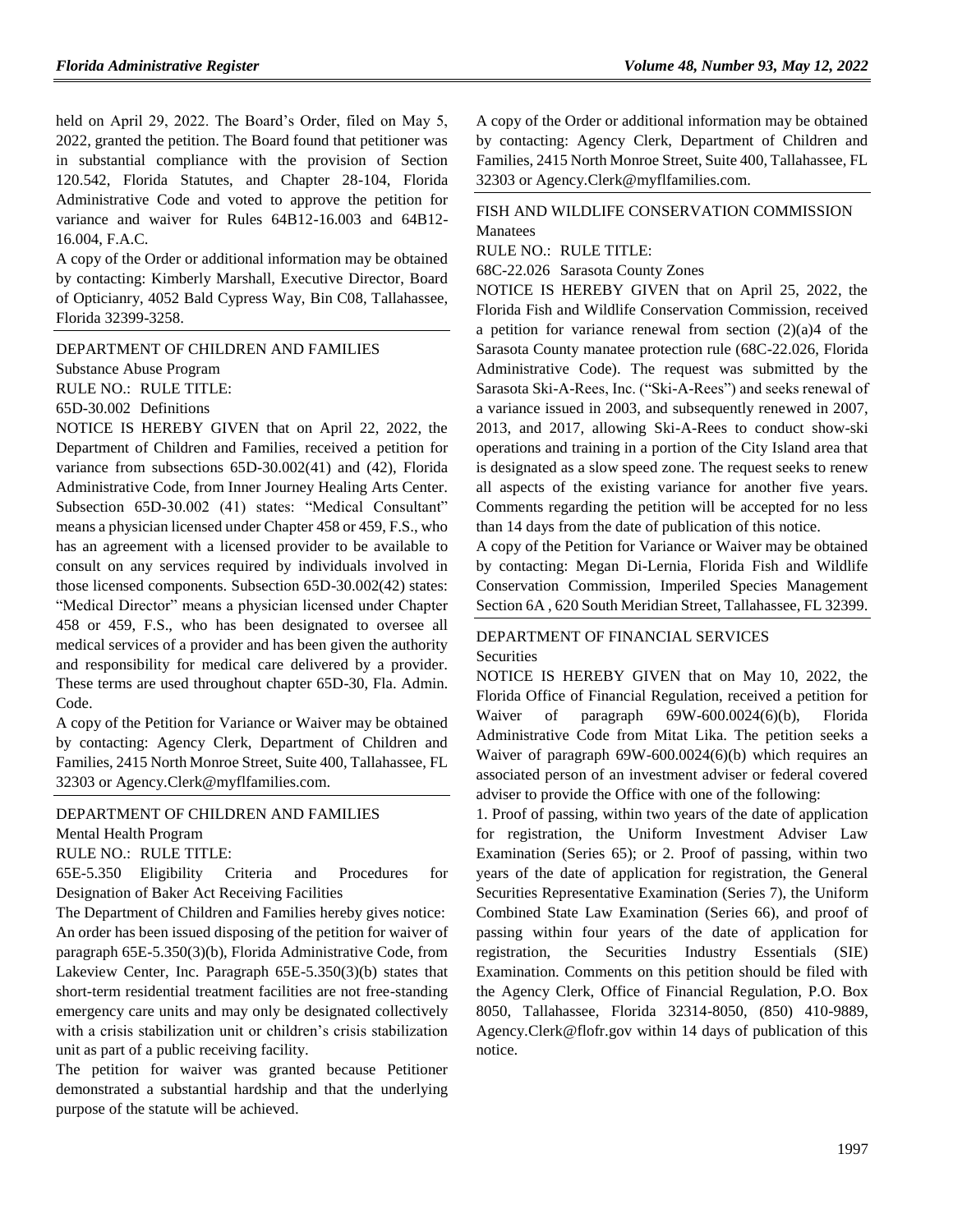held on April 29, 2022. The Board's Order, filed on May 5, 2022, granted the petition. The Board found that petitioner was in substantial compliance with the provision of Section 120.542, Florida Statutes, and Chapter 28-104, Florida Administrative Code and voted to approve the petition for variance and waiver for Rules 64B12-16.003 and 64B12- 16.004, F.A.C.

A copy of the Order or additional information may be obtained by contacting: Kimberly Marshall, Executive Director, Board of Opticianry, 4052 Bald Cypress Way, Bin C08, Tallahassee, Florida 32399-3258.

[DEPARTMENT OF CHILDREN AND FAMILIES](https://www.flrules.org/gateway/department.asp?id=65)

[Substance Abuse Program](https://www.flrules.org/gateway/organization.asp?id=343)

RULE NO.: RULE TITLE:

[65D-30.002](https://www.flrules.org/gateway/ruleNo.asp?id=65D-30.002) Definitions

NOTICE IS HEREBY GIVEN that on April 22, 2022, the Department of Children and Families, received a petition for variance from subsections 65D-30.002(41) and (42), Florida Administrative Code, from Inner Journey Healing Arts Center. Subsection 65D-30.002 (41) states: "Medical Consultant" means a physician licensed under Chapter 458 or 459, F.S., who has an agreement with a licensed provider to be available to consult on any services required by individuals involved in those licensed components. Subsection 65D-30.002(42) states: "Medical Director" means a physician licensed under Chapter 458 or 459, F.S., who has been designated to oversee all medical services of a provider and has been given the authority and responsibility for medical care delivered by a provider. These terms are used throughout chapter 65D-30, Fla. Admin. Code.

A copy of the Petition for Variance or Waiver may be obtained by contacting: Agency Clerk, Department of Children and Families, 2415 North Monroe Street, Suite 400, Tallahassee, FL 32303 or Agency.Clerk@myflfamilies.com.

#### [DEPARTMENT OF CHILDREN AND FAMILIES](https://www.flrules.org/gateway/department.asp?id=65)

[Mental Health Program](https://www.flrules.org/gateway/organization.asp?id=344)

RULE NO.: RULE TITLE:

[65E-5.350](https://www.flrules.org/gateway/ruleNo.asp?id=65E-5.350) Eligibility Criteria and Procedures for Designation of Baker Act Receiving Facilities

The Department of Children and Families hereby gives notice: An order has been issued disposing of the petition for waiver of paragraph 65E-5.350(3)(b), Florida Administrative Code, from Lakeview Center, Inc. Paragraph 65E-5.350(3)(b) states that short-term residential treatment facilities are not free-standing emergency care units and may only be designated collectively with a crisis stabilization unit or children's crisis stabilization unit as part of a public receiving facility.

The petition for waiver was granted because Petitioner demonstrated a substantial hardship and that the underlying purpose of the statute will be achieved.

A copy of the Order or additional information may be obtained by contacting: Agency Clerk, Department of Children and Families, 2415 North Monroe Street, Suite 400, Tallahassee, FL 32303 or Agency.Clerk@myflfamilies.com.

#### [FISH AND WILDLIFE CONSERVATION COMMISSION](https://www.flrules.org/gateway/department.asp?id=68) [Manatees](https://www.flrules.org/gateway/organization.asp?id=349)

RULE NO.: RULE TITLE:

[68C-22.026](https://www.flrules.org/gateway/ruleNo.asp?id=68C-22.026) Sarasota County Zones

NOTICE IS HEREBY GIVEN that on April 25, 2022, the Florida Fish and Wildlife Conservation Commission, received a petition for variance renewal from section  $(2)(a)4$  of the Sarasota County manatee protection rule (68C-22.026, Florida Administrative Code). The request was submitted by the Sarasota Ski-A-Rees, Inc. ("Ski-A-Rees") and seeks renewal of a variance issued in 2003, and subsequently renewed in 2007, 2013, and 2017, allowing Ski-A-Rees to conduct show-ski operations and training in a portion of the City Island area that is designated as a slow speed zone. The request seeks to renew all aspects of the existing variance for another five years. Comments regarding the petition will be accepted for no less than 14 days from the date of publication of this notice.

A copy of the Petition for Variance or Waiver may be obtained by contacting: Megan Di-Lernia, Florida Fish and Wildlife Conservation Commission, Imperiled Species Management Section 6A , 620 South Meridian Street, Tallahassee, FL 32399.

#### [DEPARTMENT OF FINANCIAL SERVICES](https://www.flrules.org/gateway/department.asp?id=69) **[Securities](https://www.flrules.org/gateway/organization.asp?id=525)**

NOTICE IS HEREBY GIVEN that on May 10, 2022, the Florida Office of Financial Regulation, received a petition for Waiver of paragraph 69W-600.0024(6)(b), Florida Administrative Code from Mitat Lika. The petition seeks a Waiver of paragraph 69W-600.0024(6)(b) which requires an associated person of an investment adviser or federal covered adviser to provide the Office with one of the following:

1. Proof of passing, within two years of the date of application for registration, the Uniform Investment Adviser Law Examination (Series 65); or 2. Proof of passing, within two years of the date of application for registration, the General Securities Representative Examination (Series 7), the Uniform Combined State Law Examination (Series 66), and proof of passing within four years of the date of application for registration, the Securities Industry Essentials (SIE) Examination. Comments on this petition should be filed with the Agency Clerk, Office of Financial Regulation, P.O. Box 8050, Tallahassee, Florida 32314-8050, (850) 410-9889, Agency.Clerk@flofr.gov within 14 days of publication of this notice.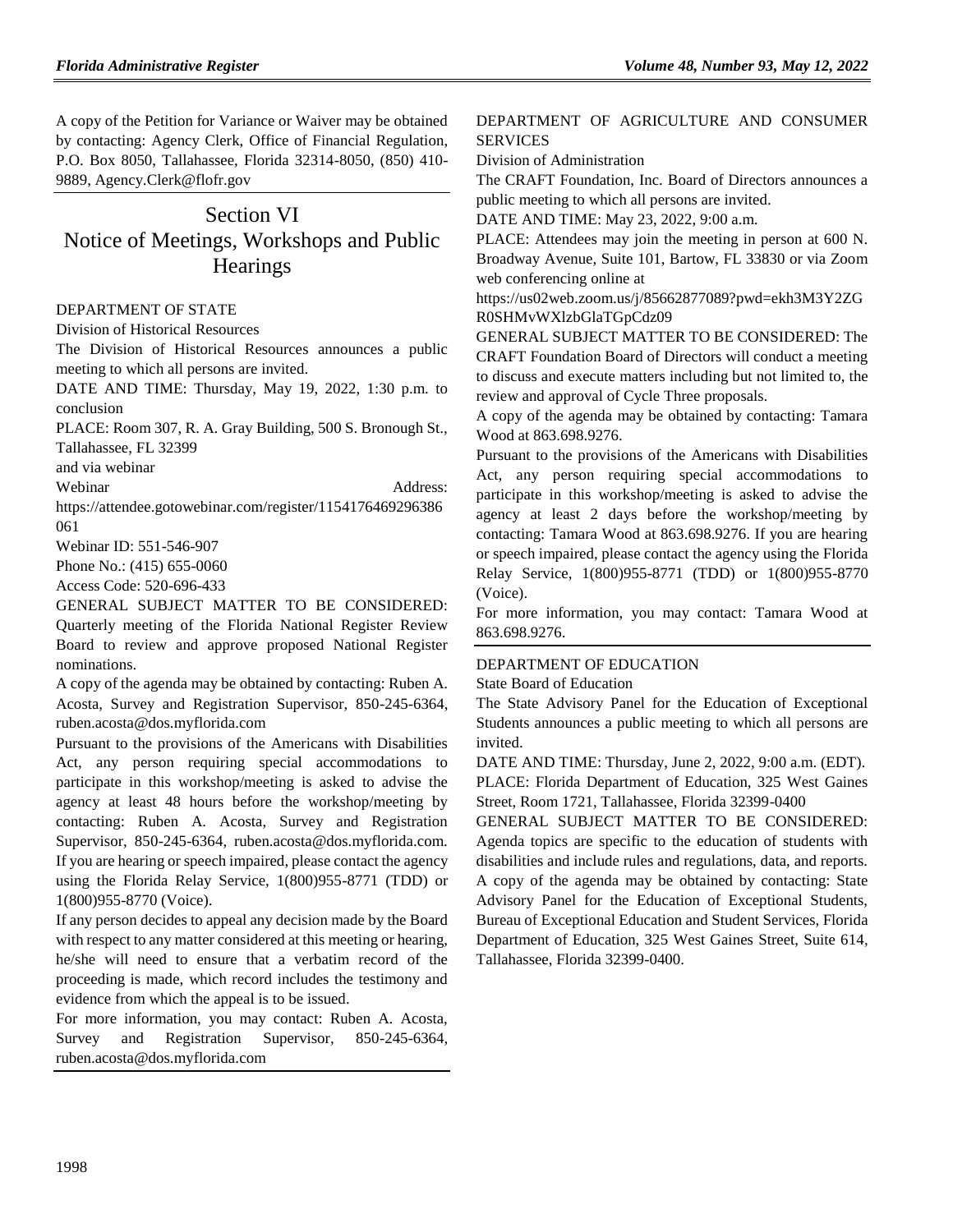A copy of the Petition for Variance or Waiver may be obtained by contacting: Agency Clerk, Office of Financial Regulation, P.O. Box 8050, Tallahassee, Florida 32314-8050, (850) 410- 9889, Agency.Clerk@flofr.gov

# Section VI Notice of Meetings, Workshops and Public **Hearings**

#### [DEPARTMENT OF STATE](https://www.flrules.org/gateway/department.asp?id=1)

[Division of Historical Resources](https://www.flrules.org/gateway/organization.asp?id=1)

The Division of Historical Resources announces a public meeting to which all persons are invited.

DATE AND TIME: Thursday, May 19, 2022, 1:30 p.m. to conclusion

PLACE: Room 307, R. A. Gray Building, 500 S. Bronough St., Tallahassee, FL 32399

and via webinar

Webinar Address:

https://attendee.gotowebinar.com/register/1154176469296386 061

Webinar ID: 551-546-907

Phone No.: (415) 655-0060

Access Code: 520-696-433

GENERAL SUBJECT MATTER TO BE CONSIDERED: Quarterly meeting of the Florida National Register Review Board to review and approve proposed National Register nominations.

A copy of the agenda may be obtained by contacting: Ruben A. Acosta, Survey and Registration Supervisor, 850-245-6364, ruben.acosta@dos.myflorida.com

Pursuant to the provisions of the Americans with Disabilities Act, any person requiring special accommodations to participate in this workshop/meeting is asked to advise the agency at least 48 hours before the workshop/meeting by contacting: Ruben A. Acosta, Survey and Registration Supervisor, 850-245-6364, ruben.acosta@dos.myflorida.com. If you are hearing or speech impaired, please contact the agency using the Florida Relay Service, 1(800)955-8771 (TDD) or 1(800)955-8770 (Voice).

If any person decides to appeal any decision made by the Board with respect to any matter considered at this meeting or hearing, he/she will need to ensure that a verbatim record of the proceeding is made, which record includes the testimony and evidence from which the appeal is to be issued.

For more information, you may contact: Ruben A. Acosta, Survey and Registration Supervisor, 850-245-6364, ruben.acosta@dos.myflorida.com

#### [DEPARTMENT OF AGRICULTURE AND CONSUMER](https://www.flrules.org/gateway/department.asp?id=5)  **[SERVICES](https://www.flrules.org/gateway/department.asp?id=5)**

[Division of Administration](https://www.flrules.org/gateway/organization.asp?id=161)

The CRAFT Foundation, Inc. Board of Directors announces a public meeting to which all persons are invited.

DATE AND TIME: May 23, 2022, 9:00 a.m.

PLACE: Attendees may join the meeting in person at 600 N. Broadway Avenue, Suite 101, Bartow, FL 33830 or via Zoom web conferencing online at

https://us02web.zoom.us/j/85662877089?pwd=ekh3M3Y2ZG R0SHMvWXlzbGlaTGpCdz09

GENERAL SUBJECT MATTER TO BE CONSIDERED: The CRAFT Foundation Board of Directors will conduct a meeting to discuss and execute matters including but not limited to, the review and approval of Cycle Three proposals.

A copy of the agenda may be obtained by contacting: Tamara Wood at 863.698.9276.

Pursuant to the provisions of the Americans with Disabilities Act, any person requiring special accommodations to participate in this workshop/meeting is asked to advise the agency at least 2 days before the workshop/meeting by contacting: Tamara Wood at 863.698.9276. If you are hearing or speech impaired, please contact the agency using the Florida Relay Service, 1(800)955-8771 (TDD) or 1(800)955-8770 (Voice).

For more information, you may contact: Tamara Wood at 863.698.9276.

#### [DEPARTMENT OF EDUCATION](https://www.flrules.org/gateway/department.asp?id=6)

[State Board of Education](https://www.flrules.org/gateway/organization.asp?id=195)

The State Advisory Panel for the Education of Exceptional Students announces a public meeting to which all persons are invited.

DATE AND TIME: Thursday, June 2, 2022, 9:00 a.m. (EDT). PLACE: Florida Department of Education, 325 West Gaines Street, Room 1721, Tallahassee, Florida 32399-0400

GENERAL SUBJECT MATTER TO BE CONSIDERED: Agenda topics are specific to the education of students with disabilities and include rules and regulations, data, and reports. A copy of the agenda may be obtained by contacting: State Advisory Panel for the Education of Exceptional Students, Bureau of Exceptional Education and Student Services, Florida Department of Education, 325 West Gaines Street, Suite 614, Tallahassee, Florida 32399-0400.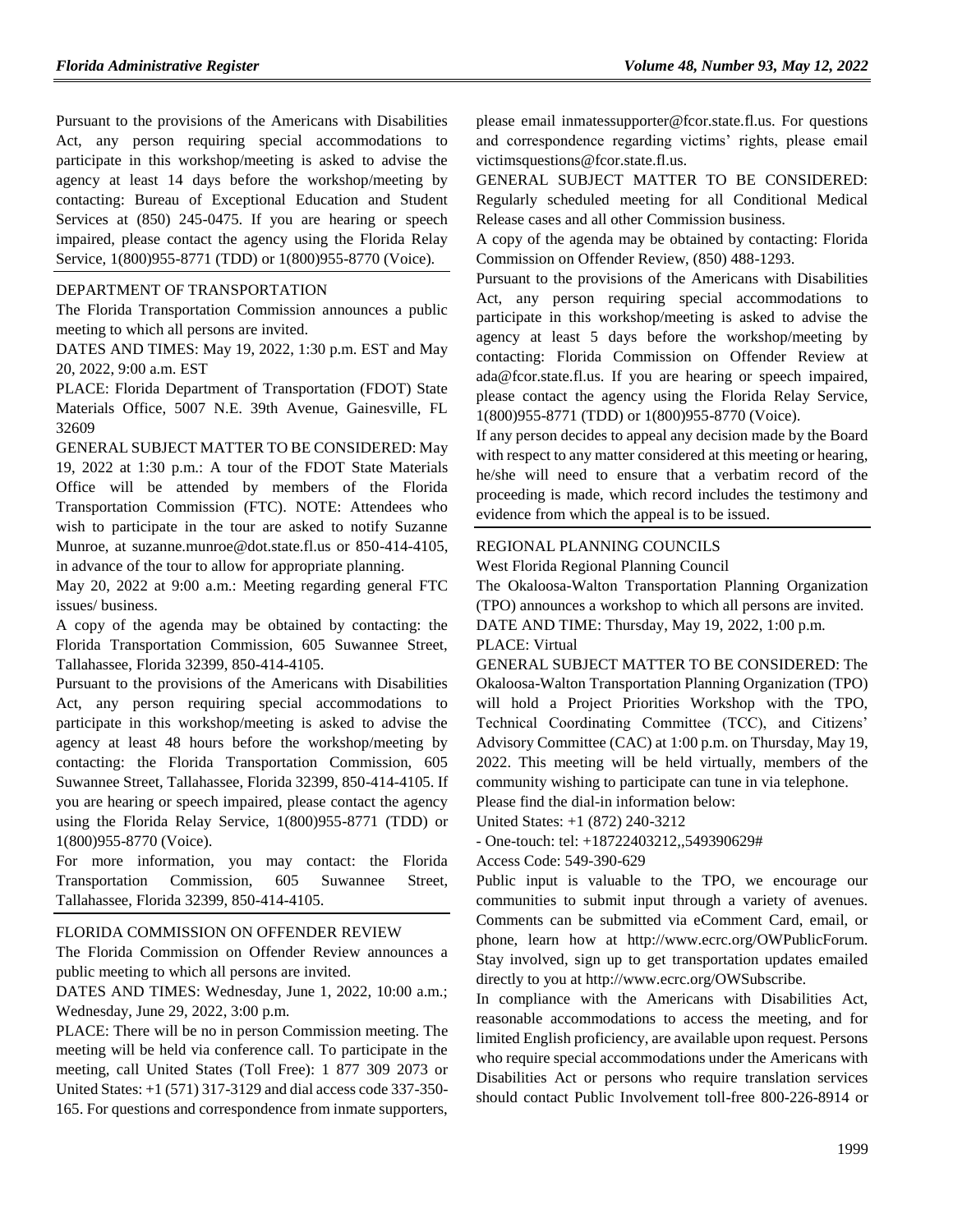Pursuant to the provisions of the Americans with Disabilities Act, any person requiring special accommodations to participate in this workshop/meeting is asked to advise the agency at least 14 days before the workshop/meeting by contacting: Bureau of Exceptional Education and Student Services at (850) 245-0475. If you are hearing or speech impaired, please contact the agency using the Florida Relay Service, 1(800)955-8771 (TDD) or 1(800)955-8770 (Voice).

#### [DEPARTMENT OF TRANSPORTATION](https://www.flrules.org/gateway/department.asp?id=14)

The Florida Transportation Commission announces a public meeting to which all persons are invited.

DATES AND TIMES: May 19, 2022, 1:30 p.m. EST and May 20, 2022, 9:00 a.m. EST

PLACE: Florida Department of Transportation (FDOT) State Materials Office, 5007 N.E. 39th Avenue, Gainesville, FL 32609

GENERAL SUBJECT MATTER TO BE CONSIDERED: May 19, 2022 at 1:30 p.m.: A tour of the FDOT State Materials Office will be attended by members of the Florida Transportation Commission (FTC). NOTE: Attendees who wish to participate in the tour are asked to notify Suzanne Munroe, at suzanne.munroe@dot.state.fl.us or 850-414-4105, in advance of the tour to allow for appropriate planning.

May 20, 2022 at 9:00 a.m.: Meeting regarding general FTC issues/ business.

A copy of the agenda may be obtained by contacting: the Florida Transportation Commission, 605 Suwannee Street, Tallahassee, Florida 32399, 850-414-4105.

Pursuant to the provisions of the Americans with Disabilities Act, any person requiring special accommodations to participate in this workshop/meeting is asked to advise the agency at least 48 hours before the workshop/meeting by contacting: the Florida Transportation Commission, 605 Suwannee Street, Tallahassee, Florida 32399, 850-414-4105. If you are hearing or speech impaired, please contact the agency using the Florida Relay Service, 1(800)955-8771 (TDD) or 1(800)955-8770 (Voice).

For more information, you may contact: the Florida Transportation Commission, 605 Suwannee Street, Tallahassee, Florida 32399, 850-414-4105.

#### [FLORIDA COMMISSION ON OFFENDER REVIEW](https://www.flrules.org/gateway/department.asp?id=23)

The Florida Commission on Offender Review announces a public meeting to which all persons are invited.

DATES AND TIMES: Wednesday, June 1, 2022, 10:00 a.m.; Wednesday, June 29, 2022, 3:00 p.m.

PLACE: There will be no in person Commission meeting. The meeting will be held via conference call. To participate in the meeting, call United States (Toll Free): 1 877 309 2073 or United States: +1 (571) 317-3129 and dial access code 337-350- 165. For questions and correspondence from inmate supporters,

please email inmatessupporter@fcor.state.fl.us. For questions and correspondence regarding victims' rights, please email victimsquestions@fcor.state.fl.us.

GENERAL SUBJECT MATTER TO BE CONSIDERED: Regularly scheduled meeting for all Conditional Medical Release cases and all other Commission business.

A copy of the agenda may be obtained by contacting: Florida Commission on Offender Review, (850) 488-1293.

Pursuant to the provisions of the Americans with Disabilities Act, any person requiring special accommodations to participate in this workshop/meeting is asked to advise the agency at least 5 days before the workshop/meeting by contacting: Florida Commission on Offender Review at ada@fcor.state.fl.us. If you are hearing or speech impaired, please contact the agency using the Florida Relay Service, 1(800)955-8771 (TDD) or 1(800)955-8770 (Voice).

If any person decides to appeal any decision made by the Board with respect to any matter considered at this meeting or hearing, he/she will need to ensure that a verbatim record of the proceeding is made, which record includes the testimony and evidence from which the appeal is to be issued.

#### [REGIONAL PLANNING COUNCILS](https://www.flrules.org/gateway/department.asp?id=29)

[West Florida Regional Planning Council](https://www.flrules.org/gateway/organization.asp?id=57)

The Okaloosa-Walton Transportation Planning Organization (TPO) announces a workshop to which all persons are invited. DATE AND TIME: Thursday, May 19, 2022, 1:00 p.m.

PLACE: Virtual

GENERAL SUBJECT MATTER TO BE CONSIDERED: The Okaloosa-Walton Transportation Planning Organization (TPO) will hold a Project Priorities Workshop with the TPO, Technical Coordinating Committee (TCC), and Citizens' Advisory Committee (CAC) at 1:00 p.m. on Thursday, May 19, 2022. This meeting will be held virtually, members of the community wishing to participate can tune in via telephone.

Please find the dial-in information below:

United States: +1 (872) 240-3212

- One-touch: tel: +18722403212,,549390629# Access Code: 549-390-629

Public input is valuable to the TPO, we encourage our communities to submit input through a variety of avenues. Comments can be submitted via eComment Card, email, or phone, learn how at http://www.ecrc.org/OWPublicForum. Stay involved, sign up to get transportation updates emailed directly to you at http://www.ecrc.org/OWSubscribe.

In compliance with the Americans with Disabilities Act, reasonable accommodations to access the meeting, and for limited English proficiency, are available upon request. Persons who require special accommodations under the Americans with Disabilities Act or persons who require translation services should contact Public Involvement toll-free 800-226-8914 or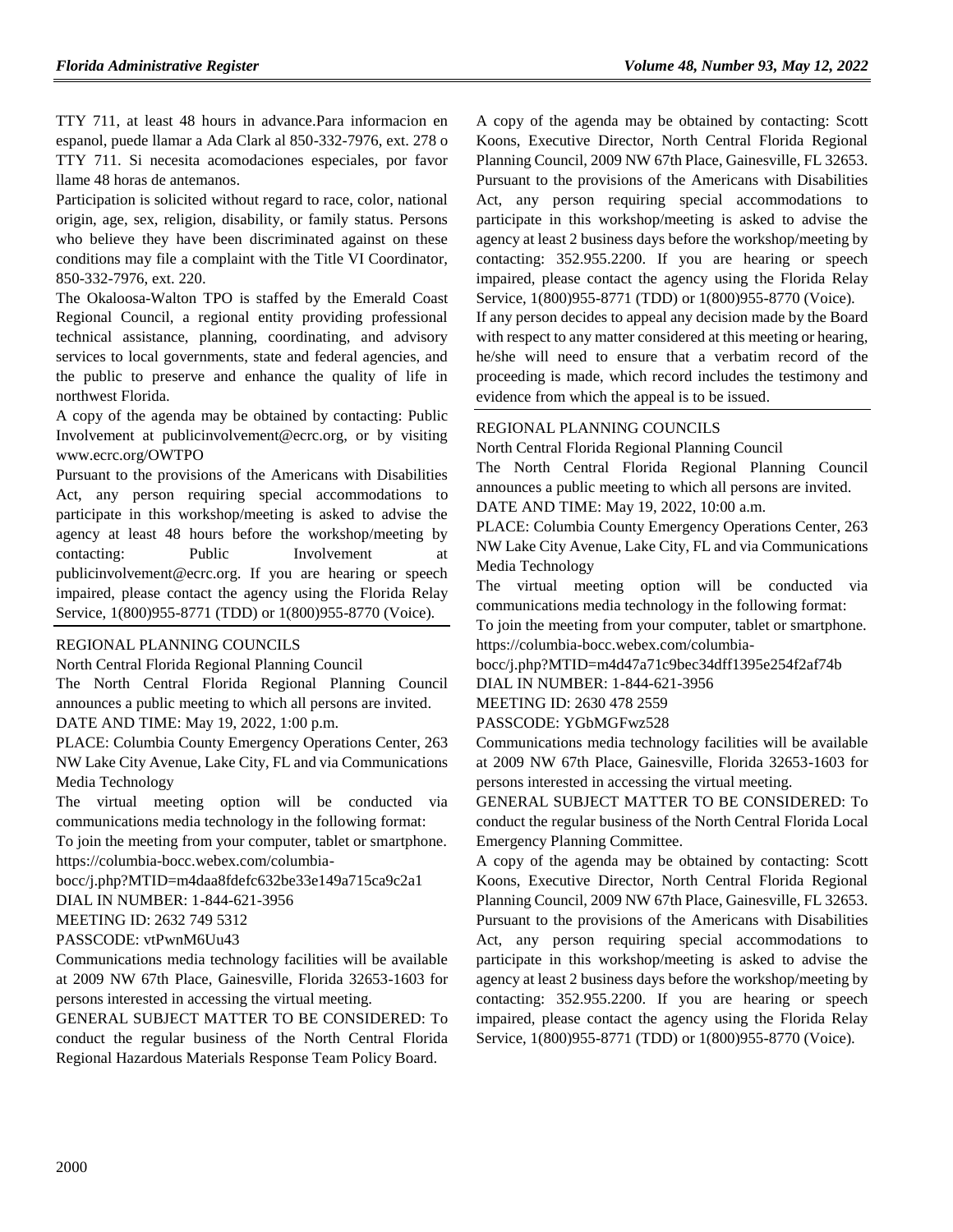TTY 711, at least 48 hours in advance.Para informacion en espanol, puede llamar a Ada Clark al 850-332-7976, ext. 278 o TTY 711. Si necesita acomodaciones especiales, por favor llame 48 horas de antemanos.

Participation is solicited without regard to race, color, national origin, age, sex, religion, disability, or family status. Persons who believe they have been discriminated against on these conditions may file a complaint with the Title VI Coordinator, 850-332-7976, ext. 220.

The Okaloosa-Walton TPO is staffed by the Emerald Coast Regional Council, a regional entity providing professional technical assistance, planning, coordinating, and advisory services to local governments, state and federal agencies, and the public to preserve and enhance the quality of life in northwest Florida.

A copy of the agenda may be obtained by contacting: Public Involvement at publicinvolvement@ecrc.org, or by visiting www.ecrc.org/OWTPO

Pursuant to the provisions of the Americans with Disabilities Act, any person requiring special accommodations to participate in this workshop/meeting is asked to advise the agency at least 48 hours before the workshop/meeting by contacting: Public Involvement publicinvolvement@ecrc.org. If you are hearing or speech impaired, please contact the agency using the Florida Relay Service, 1(800)955-8771 (TDD) or 1(800)955-8770 (Voice).

#### [REGIONAL PLANNING COUNCILS](https://www.flrules.org/gateway/department.asp?id=29)

[North Central Florida Regional Planning Council](https://www.flrules.org/gateway/organization.asp?id=59)

The North Central Florida Regional Planning Council announces a public meeting to which all persons are invited. DATE AND TIME: May 19, 2022, 1:00 p.m.

PLACE: Columbia County Emergency Operations Center, 263 NW Lake City Avenue, Lake City, FL and via Communications Media Technology

The virtual meeting option will be conducted via communications media technology in the following format:

To join the meeting from your computer, tablet or smartphone. https://columbia-bocc.webex.com/columbia-

bocc/j.php?MTID=m4daa8fdefc632be33e149a715ca9c2a1

DIAL IN NUMBER: 1-844-621-3956

MEETING ID: 2632 749 5312

PASSCODE: vtPwnM6Uu43

Communications media technology facilities will be available at 2009 NW 67th Place, Gainesville, Florida 32653-1603 for persons interested in accessing the virtual meeting.

GENERAL SUBJECT MATTER TO BE CONSIDERED: To conduct the regular business of the North Central Florida Regional Hazardous Materials Response Team Policy Board.

A copy of the agenda may be obtained by contacting: Scott Koons, Executive Director, North Central Florida Regional Planning Council, 2009 NW 67th Place, Gainesville, FL 32653. Pursuant to the provisions of the Americans with Disabilities Act, any person requiring special accommodations to participate in this workshop/meeting is asked to advise the agency at least 2 business days before the workshop/meeting by contacting: 352.955.2200. If you are hearing or speech impaired, please contact the agency using the Florida Relay Service, 1(800)955-8771 (TDD) or 1(800)955-8770 (Voice).

If any person decides to appeal any decision made by the Board with respect to any matter considered at this meeting or hearing, he/she will need to ensure that a verbatim record of the proceeding is made, which record includes the testimony and evidence from which the appeal is to be issued.

#### [REGIONAL PLANNING COUNCILS](https://www.flrules.org/gateway/department.asp?id=29)

[North Central Florida Regional Planning Council](https://www.flrules.org/gateway/organization.asp?id=59)

The North Central Florida Regional Planning Council announces a public meeting to which all persons are invited. DATE AND TIME: May 19, 2022, 10:00 a.m.

PLACE: Columbia County Emergency Operations Center, 263 NW Lake City Avenue, Lake City, FL and via Communications Media Technology

The virtual meeting option will be conducted via communications media technology in the following format:

To join the meeting from your computer, tablet or smartphone. https://columbia-bocc.webex.com/columbia-

bocc/j.php?MTID=m4d47a71c9bec34dff1395e254f2af74b

DIAL IN NUMBER: 1-844-621-3956

MEETING ID: 2630 478 2559

PASSCODE: YGbMGFwz528

Communications media technology facilities will be available at 2009 NW 67th Place, Gainesville, Florida 32653-1603 for persons interested in accessing the virtual meeting.

GENERAL SUBJECT MATTER TO BE CONSIDERED: To conduct the regular business of the North Central Florida Local Emergency Planning Committee.

A copy of the agenda may be obtained by contacting: Scott Koons, Executive Director, North Central Florida Regional Planning Council, 2009 NW 67th Place, Gainesville, FL 32653. Pursuant to the provisions of the Americans with Disabilities Act, any person requiring special accommodations to participate in this workshop/meeting is asked to advise the agency at least 2 business days before the workshop/meeting by contacting: 352.955.2200. If you are hearing or speech impaired, please contact the agency using the Florida Relay Service, 1(800)955-8771 (TDD) or 1(800)955-8770 (Voice).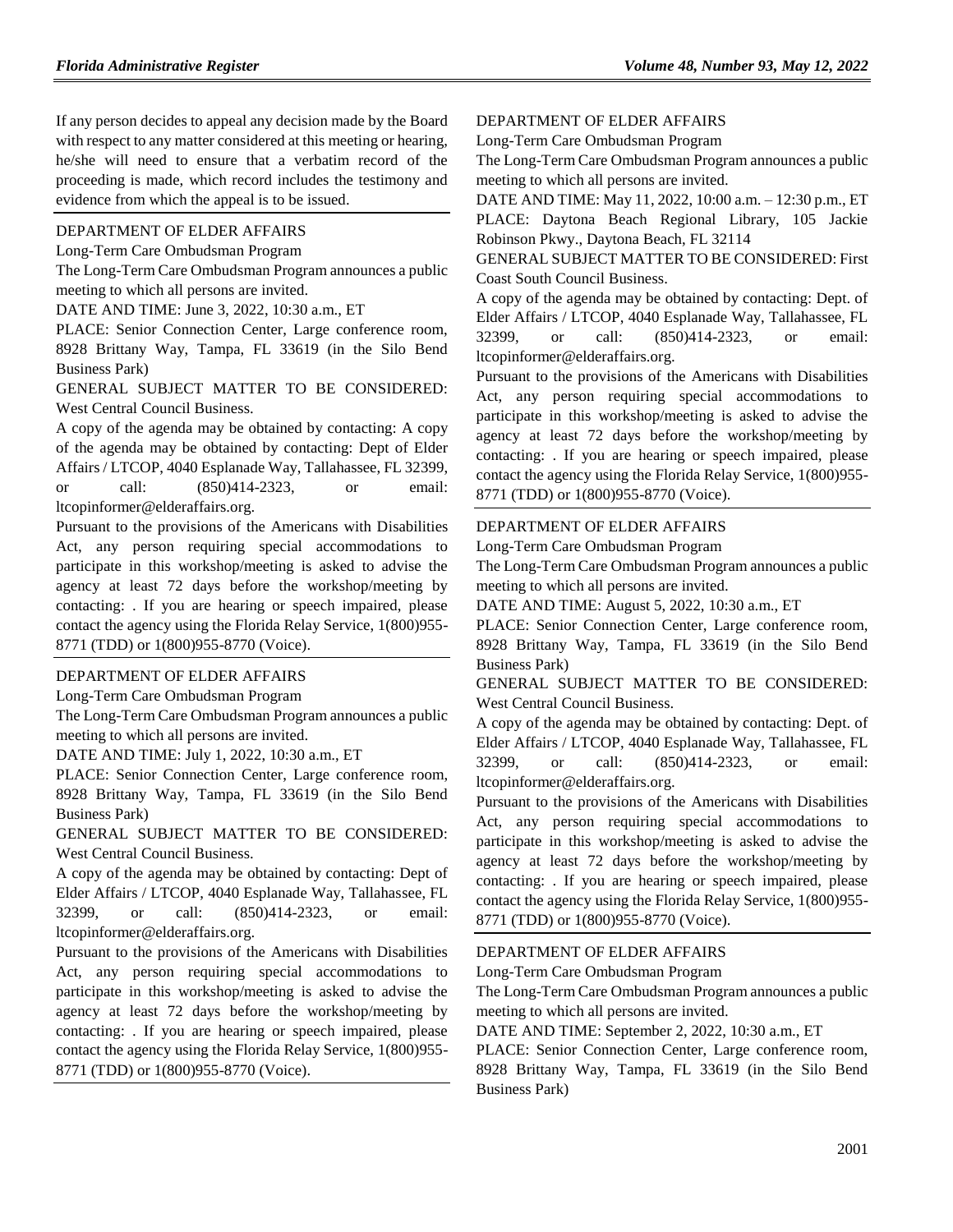If any person decides to appeal any decision made by the Board with respect to any matter considered at this meeting or hearing, he/she will need to ensure that a verbatim record of the proceeding is made, which record includes the testimony and evidence from which the appeal is to be issued.

#### [DEPARTMENT OF ELDER AFFAIRS](https://www.flrules.org/gateway/department.asp?id=58)

[Long-Term Care Ombudsman Program](https://www.flrules.org/gateway/organization.asp?id=184)

The Long-Term Care Ombudsman Program announces a public meeting to which all persons are invited.

DATE AND TIME: June 3, 2022, 10:30 a.m., ET

PLACE: Senior Connection Center, Large conference room, 8928 Brittany Way, Tampa, FL 33619 (in the Silo Bend Business Park)

GENERAL SUBJECT MATTER TO BE CONSIDERED: West Central Council Business.

A copy of the agenda may be obtained by contacting: A copy of the agenda may be obtained by contacting: Dept of Elder Affairs / LTCOP, 4040 Esplanade Way, Tallahassee, FL 32399, or call: (850)414-2323, or email: ltcopinformer@elderaffairs.org.

Pursuant to the provisions of the Americans with Disabilities Act, any person requiring special accommodations to participate in this workshop/meeting is asked to advise the agency at least 72 days before the workshop/meeting by contacting: . If you are hearing or speech impaired, please contact the agency using the Florida Relay Service, 1(800)955- 8771 (TDD) or 1(800)955-8770 (Voice).

#### [DEPARTMENT OF ELDER AFFAIRS](https://www.flrules.org/gateway/department.asp?id=58)

[Long-Term Care Ombudsman Program](https://www.flrules.org/gateway/organization.asp?id=184)

The Long-Term Care Ombudsman Program announces a public meeting to which all persons are invited.

DATE AND TIME: July 1, 2022, 10:30 a.m., ET

PLACE: Senior Connection Center, Large conference room, 8928 Brittany Way, Tampa, FL 33619 (in the Silo Bend Business Park)

GENERAL SUBJECT MATTER TO BE CONSIDERED: West Central Council Business.

A copy of the agenda may be obtained by contacting: Dept of Elder Affairs / LTCOP, 4040 Esplanade Way, Tallahassee, FL 32399, or call: (850)414-2323, or email: ltcopinformer@elderaffairs.org.

Pursuant to the provisions of the Americans with Disabilities Act, any person requiring special accommodations to participate in this workshop/meeting is asked to advise the agency at least 72 days before the workshop/meeting by contacting: . If you are hearing or speech impaired, please contact the agency using the Florida Relay Service, 1(800)955- 8771 (TDD) or 1(800)955-8770 (Voice).

[DEPARTMENT OF ELDER AFFAIRS](https://www.flrules.org/gateway/department.asp?id=58)

[Long-Term Care Ombudsman Program](https://www.flrules.org/gateway/organization.asp?id=184)

The Long-Term Care Ombudsman Program announces a public meeting to which all persons are invited.

DATE AND TIME: May 11, 2022, 10:00 a.m. – 12:30 p.m., ET PLACE: Daytona Beach Regional Library, 105 Jackie Robinson Pkwy., Daytona Beach, FL 32114

GENERAL SUBJECT MATTER TO BE CONSIDERED: First Coast South Council Business.

A copy of the agenda may be obtained by contacting: Dept. of Elder Affairs / LTCOP, 4040 Esplanade Way, Tallahassee, FL 32399, or call: (850)414-2323, or email: ltcopinformer@elderaffairs.org.

Pursuant to the provisions of the Americans with Disabilities Act, any person requiring special accommodations to participate in this workshop/meeting is asked to advise the agency at least 72 days before the workshop/meeting by contacting: . If you are hearing or speech impaired, please contact the agency using the Florida Relay Service, 1(800)955- 8771 (TDD) or 1(800)955-8770 (Voice).

#### [DEPARTMENT OF ELDER AFFAIRS](https://www.flrules.org/gateway/department.asp?id=58)

[Long-Term Care Ombudsman Program](https://www.flrules.org/gateway/organization.asp?id=184)

The Long-Term Care Ombudsman Program announces a public meeting to which all persons are invited.

DATE AND TIME: August 5, 2022, 10:30 a.m., ET

PLACE: Senior Connection Center, Large conference room, 8928 Brittany Way, Tampa, FL 33619 (in the Silo Bend Business Park)

GENERAL SUBJECT MATTER TO BE CONSIDERED: West Central Council Business.

A copy of the agenda may be obtained by contacting: Dept. of Elder Affairs / LTCOP, 4040 Esplanade Way, Tallahassee, FL 32399, or call: (850)414-2323, or email: ltcopinformer@elderaffairs.org.

Pursuant to the provisions of the Americans with Disabilities Act, any person requiring special accommodations to participate in this workshop/meeting is asked to advise the agency at least 72 days before the workshop/meeting by contacting: . If you are hearing or speech impaired, please contact the agency using the Florida Relay Service, 1(800)955- 8771 (TDD) or 1(800)955-8770 (Voice).

#### [DEPARTMENT OF ELDER AFFAIRS](https://www.flrules.org/gateway/department.asp?id=58)

[Long-Term Care Ombudsman Program](https://www.flrules.org/gateway/organization.asp?id=184)

The Long-Term Care Ombudsman Program announces a public meeting to which all persons are invited.

DATE AND TIME: September 2, 2022, 10:30 a.m., ET

PLACE: Senior Connection Center, Large conference room, 8928 Brittany Way, Tampa, FL 33619 (in the Silo Bend Business Park)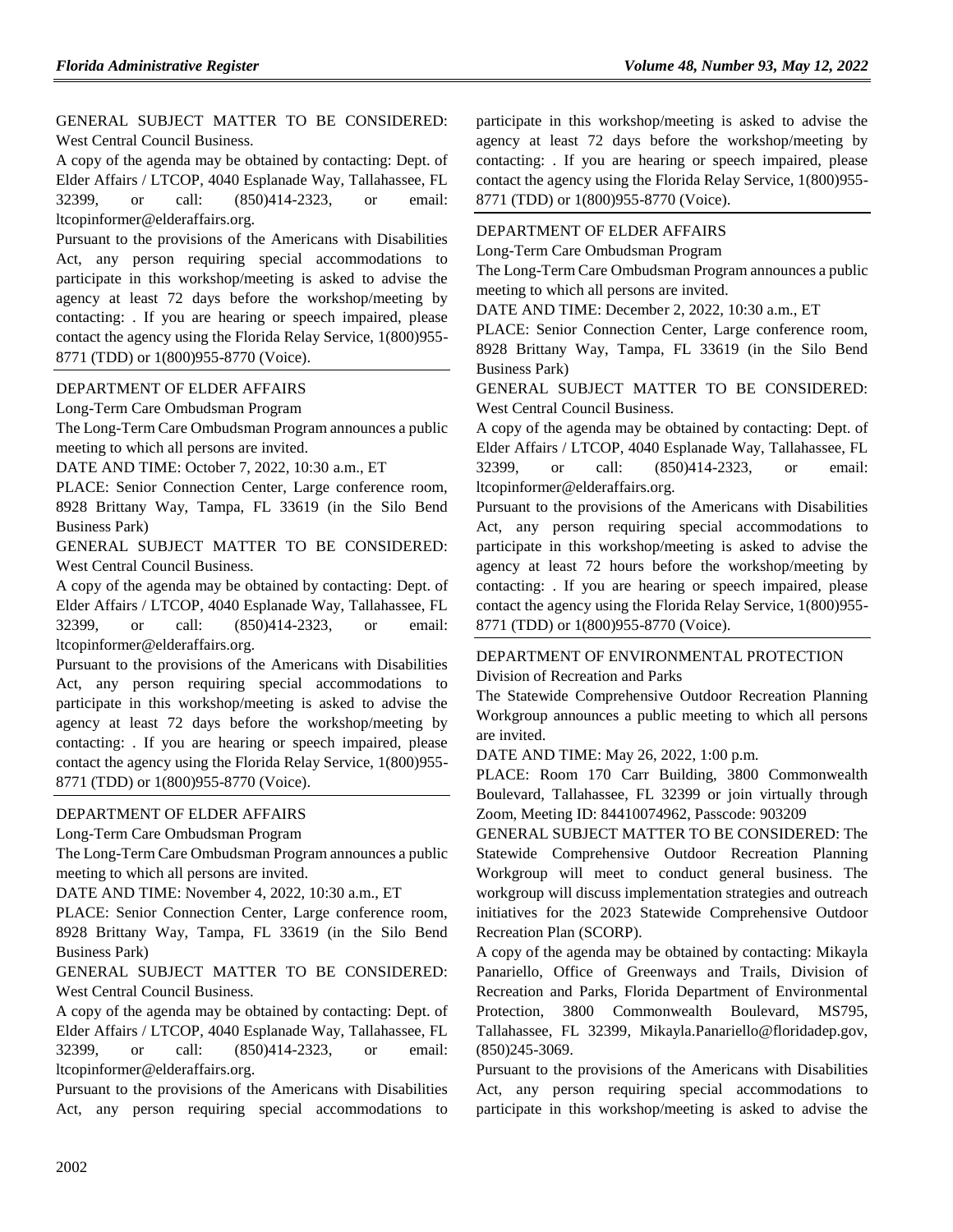GENERAL SUBJECT MATTER TO BE CONSIDERED: West Central Council Business.

A copy of the agenda may be obtained by contacting: Dept. of Elder Affairs / LTCOP, 4040 Esplanade Way, Tallahassee, FL 32399, or call: (850)414-2323, or email: ltcopinformer@elderaffairs.org.

Pursuant to the provisions of the Americans with Disabilities Act, any person requiring special accommodations to participate in this workshop/meeting is asked to advise the agency at least 72 days before the workshop/meeting by contacting: . If you are hearing or speech impaired, please contact the agency using the Florida Relay Service, 1(800)955- 8771 (TDD) or 1(800)955-8770 (Voice).

#### [DEPARTMENT OF ELDER AFFAIRS](https://www.flrules.org/gateway/department.asp?id=58)

[Long-Term Care Ombudsman Program](https://www.flrules.org/gateway/organization.asp?id=184)

The Long-Term Care Ombudsman Program announces a public meeting to which all persons are invited.

DATE AND TIME: October 7, 2022, 10:30 a.m., ET

PLACE: Senior Connection Center, Large conference room, 8928 Brittany Way, Tampa, FL 33619 (in the Silo Bend Business Park)

GENERAL SUBJECT MATTER TO BE CONSIDERED: West Central Council Business.

A copy of the agenda may be obtained by contacting: Dept. of Elder Affairs / LTCOP, 4040 Esplanade Way, Tallahassee, FL 32399, or call: (850)414-2323, or email: ltcopinformer@elderaffairs.org.

Pursuant to the provisions of the Americans with Disabilities Act, any person requiring special accommodations to participate in this workshop/meeting is asked to advise the agency at least 72 days before the workshop/meeting by contacting: . If you are hearing or speech impaired, please contact the agency using the Florida Relay Service, 1(800)955- 8771 (TDD) or 1(800)955-8770 (Voice).

#### [DEPARTMENT OF ELDER AFFAIRS](https://www.flrules.org/gateway/department.asp?id=58)

[Long-Term Care Ombudsman Program](https://www.flrules.org/gateway/organization.asp?id=184)

The Long-Term Care Ombudsman Program announces a public meeting to which all persons are invited.

DATE AND TIME: November 4, 2022, 10:30 a.m., ET

PLACE: Senior Connection Center, Large conference room, 8928 Brittany Way, Tampa, FL 33619 (in the Silo Bend Business Park)

GENERAL SUBJECT MATTER TO BE CONSIDERED: West Central Council Business.

A copy of the agenda may be obtained by contacting: Dept. of Elder Affairs / LTCOP, 4040 Esplanade Way, Tallahassee, FL 32399, or call: (850)414-2323, or email: ltcopinformer@elderaffairs.org.

Pursuant to the provisions of the Americans with Disabilities Act, any person requiring special accommodations to participate in this workshop/meeting is asked to advise the agency at least 72 days before the workshop/meeting by contacting: . If you are hearing or speech impaired, please contact the agency using the Florida Relay Service, 1(800)955- 8771 (TDD) or 1(800)955-8770 (Voice).

#### [DEPARTMENT OF ELDER AFFAIRS](https://www.flrules.org/gateway/department.asp?id=58)

[Long-Term Care Ombudsman Program](https://www.flrules.org/gateway/organization.asp?id=184)

The Long-Term Care Ombudsman Program announces a public meeting to which all persons are invited.

DATE AND TIME: December 2, 2022, 10:30 a.m., ET

PLACE: Senior Connection Center, Large conference room, 8928 Brittany Way, Tampa, FL 33619 (in the Silo Bend Business Park)

GENERAL SUBJECT MATTER TO BE CONSIDERED: West Central Council Business.

A copy of the agenda may be obtained by contacting: Dept. of Elder Affairs / LTCOP, 4040 Esplanade Way, Tallahassee, FL 32399, or call: (850)414-2323, or email: ltcopinformer@elderaffairs.org.

Pursuant to the provisions of the Americans with Disabilities Act, any person requiring special accommodations to participate in this workshop/meeting is asked to advise the agency at least 72 hours before the workshop/meeting by contacting: . If you are hearing or speech impaired, please contact the agency using the Florida Relay Service, 1(800)955- 8771 (TDD) or 1(800)955-8770 (Voice).

#### [DEPARTMENT OF ENVIRONMENTAL PROTECTION](https://www.flrules.org/gateway/department.asp?id=62) [Division of Recreation and Parks](https://www.flrules.org/gateway/organization.asp?id=290)

The Statewide Comprehensive Outdoor Recreation Planning Workgroup announces a public meeting to which all persons are invited.

DATE AND TIME: May 26, 2022, 1:00 p.m.

PLACE: Room 170 Carr Building, 3800 Commonwealth Boulevard, Tallahassee, FL 32399 or join virtually through Zoom, Meeting ID: 84410074962, Passcode: 903209

GENERAL SUBJECT MATTER TO BE CONSIDERED: The Statewide Comprehensive Outdoor Recreation Planning Workgroup will meet to conduct general business. The workgroup will discuss implementation strategies and outreach initiatives for the 2023 Statewide Comprehensive Outdoor Recreation Plan (SCORP).

A copy of the agenda may be obtained by contacting: Mikayla Panariello, Office of Greenways and Trails, Division of Recreation and Parks, Florida Department of Environmental Protection, 3800 Commonwealth Boulevard, MS795, Tallahassee, FL 32399, Mikayla.Panariello@floridadep.gov, (850)245-3069.

Pursuant to the provisions of the Americans with Disabilities Act, any person requiring special accommodations to participate in this workshop/meeting is asked to advise the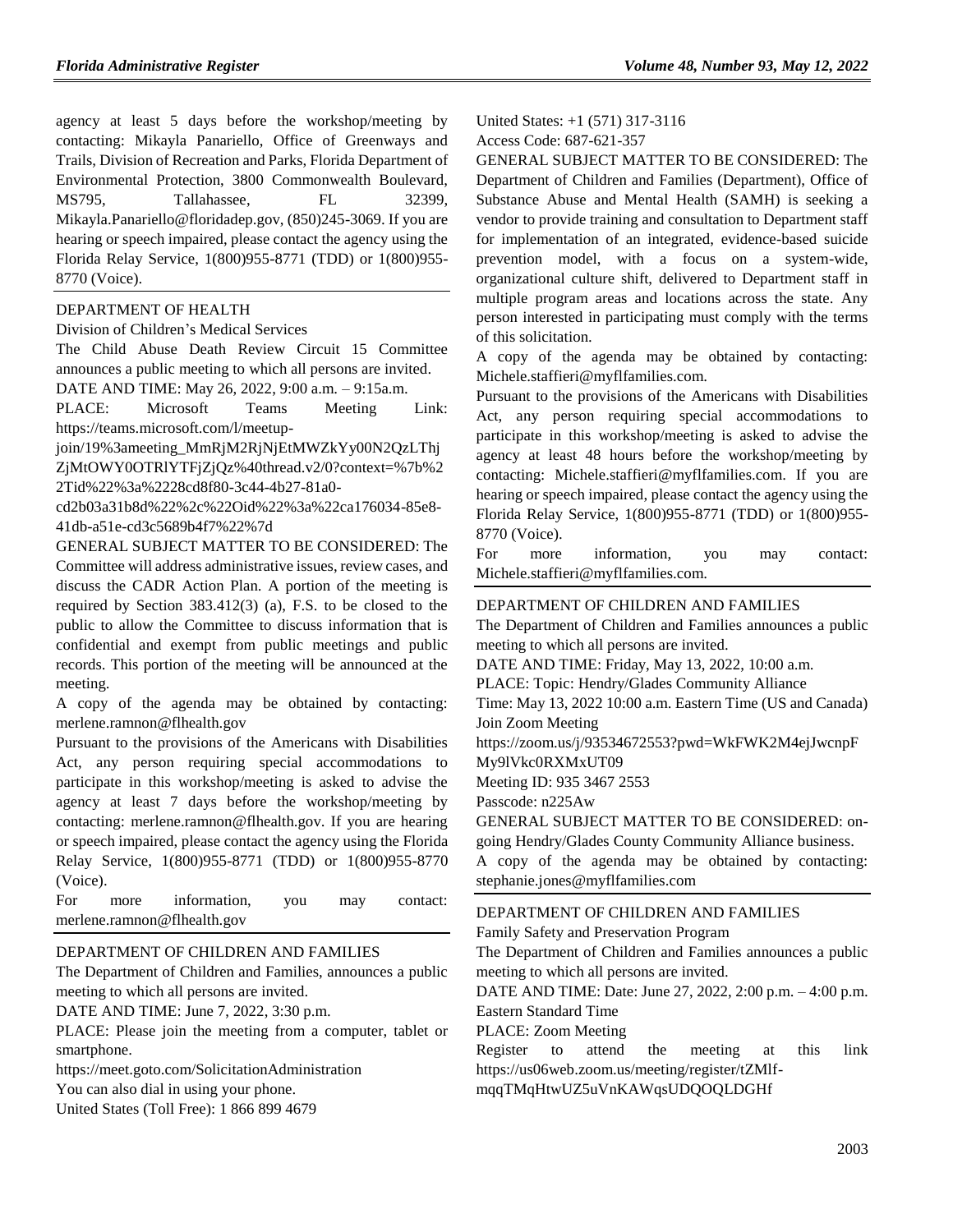agency at least 5 days before the workshop/meeting by contacting: Mikayla Panariello, Office of Greenways and Trails, Division of Recreation and Parks, Florida Department of Environmental Protection, 3800 Commonwealth Boulevard, MS795, Tallahassee, FL 32399, Mikayla.Panariello@floridadep.gov, (850)245-3069. If you are hearing or speech impaired, please contact the agency using the Florida Relay Service, 1(800)955-8771 (TDD) or 1(800)955- 8770 (Voice).

#### [DEPARTMENT OF HEALTH](https://www.flrules.org/gateway/department.asp?id=64)

[Division of Children's Medical Services](https://www.flrules.org/gateway/organization.asp?id=333)

The Child Abuse Death Review Circuit 15 Committee announces a public meeting to which all persons are invited.

DATE AND TIME: May 26, 2022, 9:00 a.m. – 9:15a.m.

PLACE: Microsoft Teams Meeting Link: https://teams.microsoft.com/l/meetup-

join/19%3ameeting\_MmRjM2RjNjEtMWZkYy00N2QzLThj

ZjMtOWY0OTRlYTFjZjQz%40thread.v2/0?context=%7b%2 2Tid%22%3a%2228cd8f80-3c44-4b27-81a0-

cd2b03a31b8d%22%2c%22Oid%22%3a%22ca176034-85e8- 41db-a51e-cd3c5689b4f7%22%7d

GENERAL SUBJECT MATTER TO BE CONSIDERED: The Committee will address administrative issues, review cases, and discuss the CADR Action Plan. A portion of the meeting is required by Section 383.412(3) (a), F.S. to be closed to the public to allow the Committee to discuss information that is confidential and exempt from public meetings and public records. This portion of the meeting will be announced at the meeting.

A copy of the agenda may be obtained by contacting: merlene.ramnon@flhealth.gov

Pursuant to the provisions of the Americans with Disabilities Act, any person requiring special accommodations to participate in this workshop/meeting is asked to advise the agency at least 7 days before the workshop/meeting by contacting: merlene.ramnon@flhealth.gov. If you are hearing or speech impaired, please contact the agency using the Florida Relay Service, 1(800)955-8771 (TDD) or 1(800)955-8770 (Voice).

| For | more | information.                | you | may | contact: |
|-----|------|-----------------------------|-----|-----|----------|
|     |      | merlene.ramnon@flhealth.gov |     |     |          |

#### [DEPARTMENT OF CHILDREN AND FAMILIES](https://www.flrules.org/gateway/department.asp?id=65)

The Department of Children and Families, announces a public meeting to which all persons are invited.

DATE AND TIME: June 7, 2022, 3:30 p.m.

PLACE: Please join the meeting from a computer, tablet or smartphone.

https://meet.goto.com/SolicitationAdministration

You can also dial in using your phone.

United States (Toll Free): 1 866 899 4679

United States: +1 (571) 317-3116 Access Code: 687-621-357

GENERAL SUBJECT MATTER TO BE CONSIDERED: The Department of Children and Families (Department), Office of Substance Abuse and Mental Health (SAMH) is seeking a vendor to provide training and consultation to Department staff for implementation of an integrated, evidence-based suicide prevention model, with a focus on a system-wide, organizational culture shift, delivered to Department staff in multiple program areas and locations across the state. Any person interested in participating must comply with the terms of this solicitation.

A copy of the agenda may be obtained by contacting: Michele.staffieri@myflfamilies.com.

Pursuant to the provisions of the Americans with Disabilities Act, any person requiring special accommodations to participate in this workshop/meeting is asked to advise the agency at least 48 hours before the workshop/meeting by contacting: Michele.staffieri@myflfamilies.com. If you are hearing or speech impaired, please contact the agency using the Florida Relay Service, 1(800)955-8771 (TDD) or 1(800)955- 8770 (Voice).

For more information, you may contact: Michele.staffieri@myflfamilies.com.

#### [DEPARTMENT OF CHILDREN AND FAMILIES](https://www.flrules.org/gateway/department.asp?id=65)

The Department of Children and Families announces a public meeting to which all persons are invited.

DATE AND TIME: Friday, May 13, 2022, 10:00 a.m.

PLACE: Topic: Hendry/Glades Community Alliance

Time: May 13, 2022 10:00 a.m. Eastern Time (US and Canada) Join Zoom Meeting

https://zoom.us/j/93534672553?pwd=WkFWK2M4ejJwcnpF

My9lVkc0RXMxUT09

Meeting ID: 935 3467 2553

Passcode: n225Aw

GENERAL SUBJECT MATTER TO BE CONSIDERED: ongoing Hendry/Glades County Community Alliance business.

A copy of the agenda may be obtained by contacting: stephanie.jones@myflfamilies.com

#### [DEPARTMENT OF CHILDREN AND FAMILIES](https://www.flrules.org/gateway/department.asp?id=65)

[Family Safety and Preservation Program](https://www.flrules.org/gateway/organization.asp?id=342)

The Department of Children and Families announces a public meeting to which all persons are invited.

DATE AND TIME: Date: June 27, 2022, 2:00 p.m. – 4:00 p.m. Eastern Standard Time

PLACE: Zoom Meeting

Register to attend the meeting at this link https://us06web.zoom.us/meeting/register/tZMlfmqqTMqHtwUZ5uVnKAWqsUDQOQLDGHf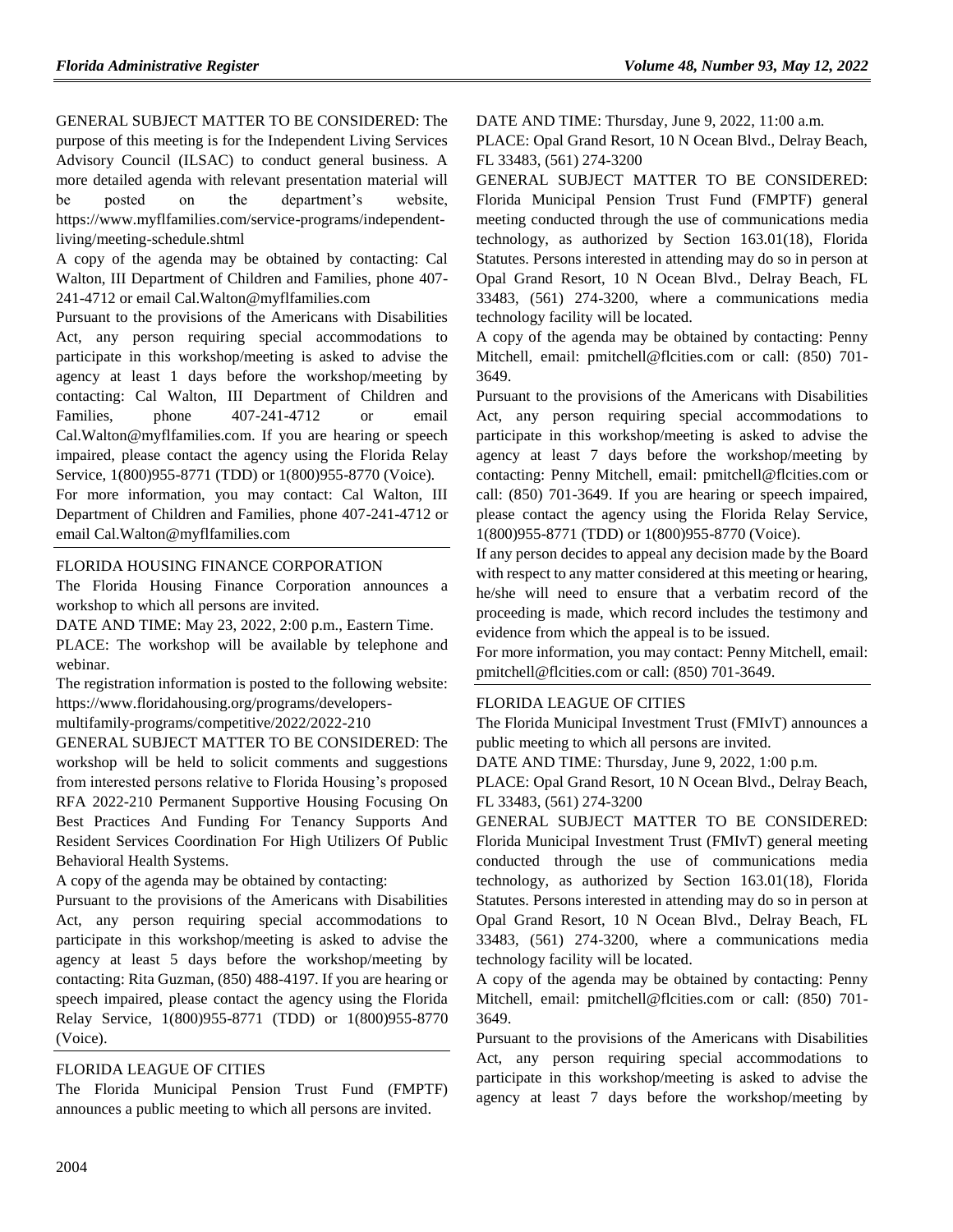GENERAL SUBJECT MATTER TO BE CONSIDERED: The purpose of this meeting is for the Independent Living Services Advisory Council (ILSAC) to conduct general business. A more detailed agenda with relevant presentation material will be posted on the department's website, https://www.myflfamilies.com/service-programs/independentliving/meeting-schedule.shtml

A copy of the agenda may be obtained by contacting: Cal Walton, III Department of Children and Families, phone 407- 241-4712 or email Cal.Walton@myflfamilies.com

Pursuant to the provisions of the Americans with Disabilities Act, any person requiring special accommodations to participate in this workshop/meeting is asked to advise the agency at least 1 days before the workshop/meeting by contacting: Cal Walton, III Department of Children and Families, phone 407-241-4712 or email Cal.Walton@myflfamilies.com. If you are hearing or speech impaired, please contact the agency using the Florida Relay Service, 1(800)955-8771 (TDD) or 1(800)955-8770 (Voice).

For more information, you may contact: Cal Walton, III Department of Children and Families, phone 407-241-4712 or email Cal.Walton@myflfamilies.com

#### [FLORIDA HOUSING FINANCE CORPORATION](https://www.flrules.org/gateway/department.asp?id=67)

The Florida Housing Finance Corporation announces a workshop to which all persons are invited.

DATE AND TIME: May 23, 2022, 2:00 p.m., Eastern Time.

PLACE: The workshop will be available by telephone and webinar.

The registration information is posted to the following website: https://www.floridahousing.org/programs/developersmultifamily-programs/competitive/2022/2022-210

GENERAL SUBJECT MATTER TO BE CONSIDERED: The workshop will be held to solicit comments and suggestions from interested persons relative to Florida Housing's proposed RFA 2022-210 Permanent Supportive Housing Focusing On Best Practices And Funding For Tenancy Supports And Resident Services Coordination For High Utilizers Of Public Behavioral Health Systems.

A copy of the agenda may be obtained by contacting:

Pursuant to the provisions of the Americans with Disabilities Act, any person requiring special accommodations to participate in this workshop/meeting is asked to advise the agency at least 5 days before the workshop/meeting by contacting: Rita Guzman, (850) 488-4197. If you are hearing or speech impaired, please contact the agency using the Florida Relay Service, 1(800)955-8771 (TDD) or 1(800)955-8770 (Voice).

#### [FLORIDA LEAGUE OF CITIES](https://www.flrules.org/gateway/organization.asp?id=670)

The Florida Municipal Pension Trust Fund (FMPTF) announces a public meeting to which all persons are invited.

DATE AND TIME: Thursday, June 9, 2022, 11:00 a.m.

PLACE: Opal Grand Resort, 10 N Ocean Blvd., Delray Beach, FL 33483, (561) 274-3200

GENERAL SUBJECT MATTER TO BE CONSIDERED: Florida Municipal Pension Trust Fund (FMPTF) general meeting conducted through the use of communications media technology, as authorized by Section 163.01(18), Florida Statutes. Persons interested in attending may do so in person at Opal Grand Resort, 10 N Ocean Blvd., Delray Beach, FL 33483, (561) 274-3200, where a communications media technology facility will be located.

A copy of the agenda may be obtained by contacting: Penny Mitchell, email: pmitchell@flcities.com or call: (850) 701- 3649.

Pursuant to the provisions of the Americans with Disabilities Act, any person requiring special accommodations to participate in this workshop/meeting is asked to advise the agency at least 7 days before the workshop/meeting by contacting: Penny Mitchell, email: pmitchell@flcities.com or call: (850) 701-3649. If you are hearing or speech impaired, please contact the agency using the Florida Relay Service, 1(800)955-8771 (TDD) or 1(800)955-8770 (Voice).

If any person decides to appeal any decision made by the Board with respect to any matter considered at this meeting or hearing, he/she will need to ensure that a verbatim record of the proceeding is made, which record includes the testimony and evidence from which the appeal is to be issued.

For more information, you may contact: Penny Mitchell, email: pmitchell@flcities.com or call: (850) 701-3649.

#### [FLORIDA LEAGUE OF CITIES](https://www.flrules.org/gateway/organization.asp?id=670)

The Florida Municipal Investment Trust (FMIvT) announces a public meeting to which all persons are invited.

DATE AND TIME: Thursday, June 9, 2022, 1:00 p.m.

PLACE: Opal Grand Resort, 10 N Ocean Blvd., Delray Beach, FL 33483, (561) 274-3200

GENERAL SUBJECT MATTER TO BE CONSIDERED: Florida Municipal Investment Trust (FMIvT) general meeting conducted through the use of communications media technology, as authorized by Section 163.01(18), Florida Statutes. Persons interested in attending may do so in person at Opal Grand Resort, 10 N Ocean Blvd., Delray Beach, FL 33483, (561) 274-3200, where a communications media technology facility will be located.

A copy of the agenda may be obtained by contacting: Penny Mitchell, email: pmitchell@flcities.com or call: (850) 701- 3649.

Pursuant to the provisions of the Americans with Disabilities Act, any person requiring special accommodations to participate in this workshop/meeting is asked to advise the agency at least 7 days before the workshop/meeting by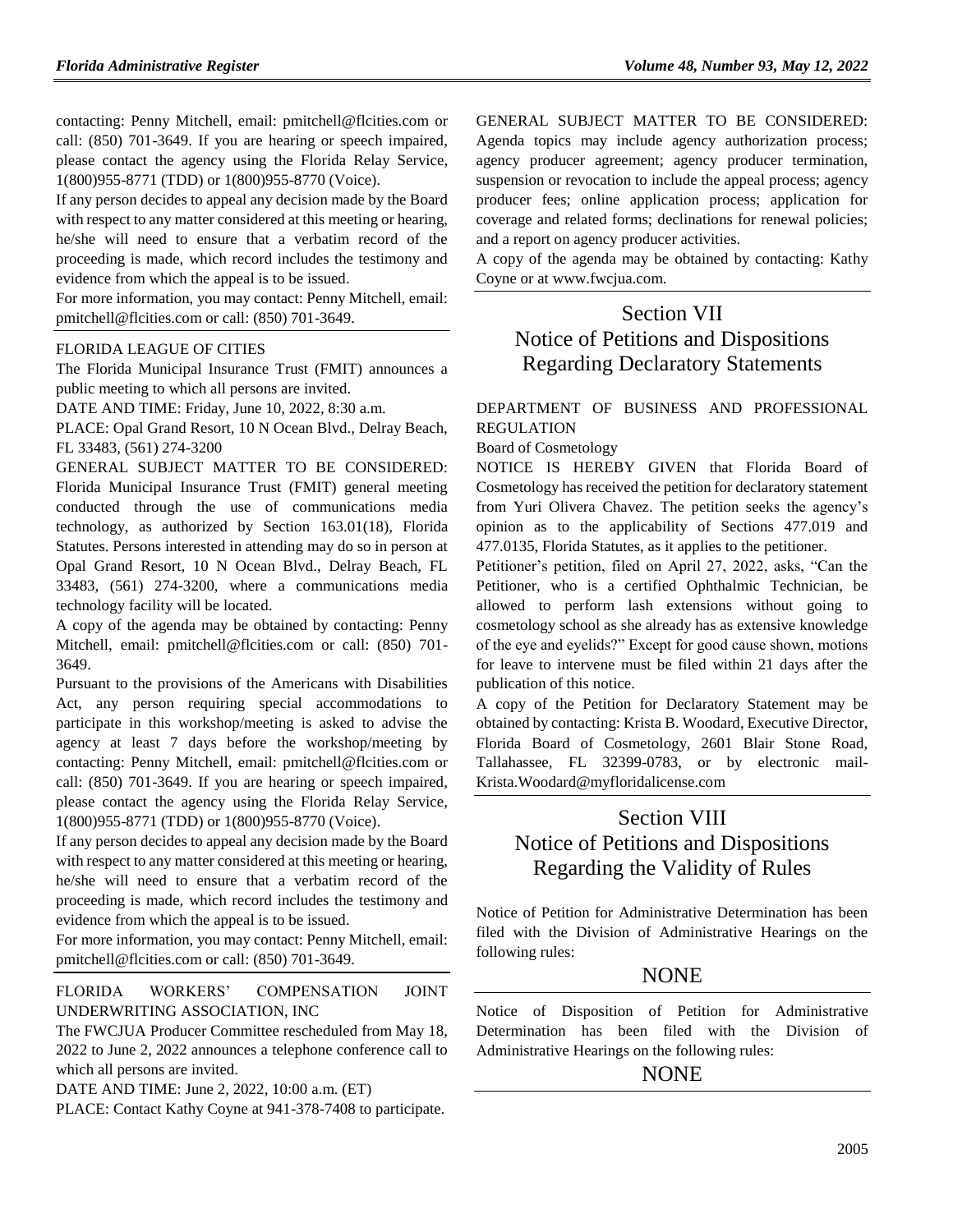contacting: Penny Mitchell, email: pmitchell@flcities.com or call: (850) 701-3649. If you are hearing or speech impaired, please contact the agency using the Florida Relay Service, 1(800)955-8771 (TDD) or 1(800)955-8770 (Voice).

If any person decides to appeal any decision made by the Board with respect to any matter considered at this meeting or hearing, he/she will need to ensure that a verbatim record of the proceeding is made, which record includes the testimony and evidence from which the appeal is to be issued.

For more information, you may contact: Penny Mitchell, email: pmitchell@flcities.com or call: (850) 701-3649.

#### [FLORIDA LEAGUE OF CITIES](https://www.flrules.org/gateway/organization.asp?id=670)

The Florida Municipal Insurance Trust (FMIT) announces a public meeting to which all persons are invited.

DATE AND TIME: Friday, June 10, 2022, 8:30 a.m.

PLACE: Opal Grand Resort, 10 N Ocean Blvd., Delray Beach, FL 33483, (561) 274-3200

GENERAL SUBJECT MATTER TO BE CONSIDERED: Florida Municipal Insurance Trust (FMIT) general meeting conducted through the use of communications media technology, as authorized by Section 163.01(18), Florida Statutes. Persons interested in attending may do so in person at Opal Grand Resort, 10 N Ocean Blvd., Delray Beach, FL 33483, (561) 274-3200, where a communications media technology facility will be located.

A copy of the agenda may be obtained by contacting: Penny Mitchell, email: pmitchell@flcities.com or call: (850) 701- 3649.

Pursuant to the provisions of the Americans with Disabilities Act, any person requiring special accommodations to participate in this workshop/meeting is asked to advise the agency at least 7 days before the workshop/meeting by contacting: Penny Mitchell, email: pmitchell@flcities.com or call: (850) 701-3649. If you are hearing or speech impaired, please contact the agency using the Florida Relay Service, 1(800)955-8771 (TDD) or 1(800)955-8770 (Voice).

If any person decides to appeal any decision made by the Board with respect to any matter considered at this meeting or hearing, he/she will need to ensure that a verbatim record of the proceeding is made, which record includes the testimony and evidence from which the appeal is to be issued.

For more information, you may contact: Penny Mitchell, email: pmitchell@flcities.com or call: (850) 701-3649.

[FLORIDA WORKERS' COMPENSATION JOINT](https://www.flrules.org/gateway/organization.asp?id=757)  [UNDERWRITING ASSOCIATION, INC](https://www.flrules.org/gateway/organization.asp?id=757)

The FWCJUA Producer Committee rescheduled from May 18, 2022 to June 2, 2022 announces a telephone conference call to which all persons are invited.

DATE AND TIME: June 2, 2022, 10:00 a.m. (ET)

PLACE: Contact Kathy Coyne at 941-378-7408 to participate.

GENERAL SUBJECT MATTER TO BE CONSIDERED: Agenda topics may include agency authorization process; agency producer agreement; agency producer termination, suspension or revocation to include the appeal process; agency producer fees; online application process; application for coverage and related forms; declinations for renewal policies; and a report on agency producer activities.

A copy of the agenda may be obtained by contacting: Kathy Coyne or at www.fwcjua.com.

# Section VII Notice of Petitions and Dispositions Regarding Declaratory Statements

#### [DEPARTMENT OF BUSINESS AND PROFESSIONAL](https://www.flrules.org/gateway/department.asp?id=61)  [REGULATION](https://www.flrules.org/gateway/department.asp?id=61)

#### [Board of Cosmetology](https://www.flrules.org/gateway/organization.asp?id=275)

NOTICE IS HEREBY GIVEN that Florida Board of Cosmetology has received the petition for declaratory statement from Yuri Olivera Chavez. The petition seeks the agency's opinion as to the applicability of Sections 477.019 and 477.0135, Florida Statutes, as it applies to the petitioner.

Petitioner's petition, filed on April 27, 2022, asks, "Can the Petitioner, who is a certified Ophthalmic Technician, be allowed to perform lash extensions without going to cosmetology school as she already has as extensive knowledge of the eye and eyelids?" Except for good cause shown, motions for leave to intervene must be filed within 21 days after the publication of this notice.

A copy of the Petition for Declaratory Statement may be obtained by contacting: Krista B. Woodard, Executive Director, Florida Board of Cosmetology, 2601 Blair Stone Road, Tallahassee, FL 32399-0783, or by electronic mail-Krista.Woodard@myfloridalicense.com

### Section VIII

# Notice of Petitions and Dispositions Regarding the Validity of Rules

Notice of Petition for Administrative Determination has been filed with the Division of Administrative Hearings on the following rules:

#### **NONE**

Notice of Disposition of Petition for Administrative Determination has been filed with the Division of Administrative Hearings on the following rules:

#### NONE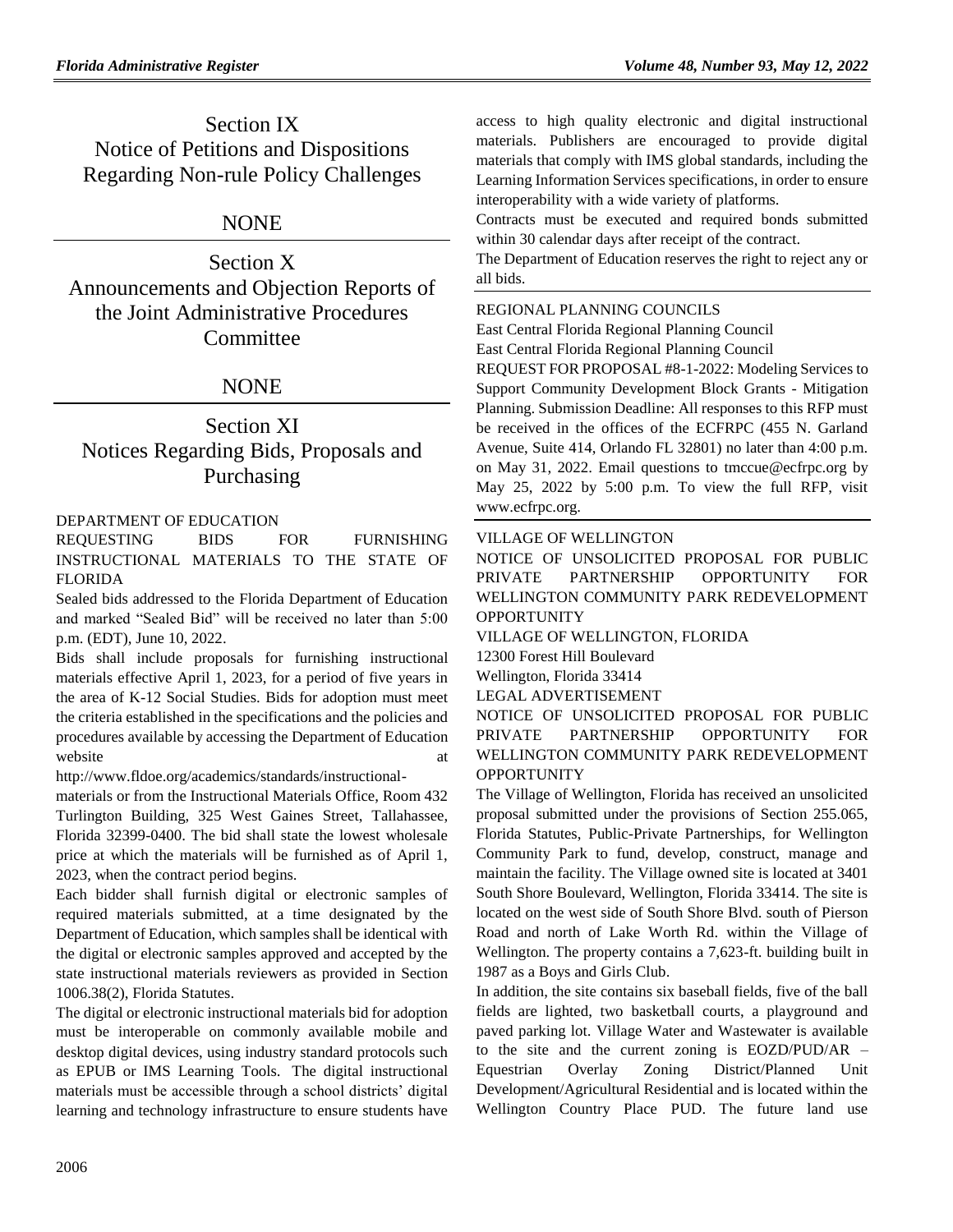Section IX Notice of Petitions and Dispositions Regarding Non-rule Policy Challenges

### NONE

Section X Announcements and Objection Reports of the Joint Administrative Procedures Committee

### **NONE**

# Section XI Notices Regarding Bids, Proposals and Purchasing

#### [DEPARTMENT OF EDUCATION](https://www.flrules.org/gateway/department.asp?id=6)

REQUESTING BIDS FOR FURNISHING INSTRUCTIONAL MATERIALS TO THE STATE OF FLORIDA

Sealed bids addressed to the Florida Department of Education and marked "Sealed Bid" will be received no later than 5:00 p.m. (EDT), June 10, 2022.

Bids shall include proposals for furnishing instructional materials effective April 1, 2023, for a period of five years in the area of K-12 Social Studies. Bids for adoption must meet the criteria established in the specifications and the policies and procedures available by accessing the Department of Education website at a state of  $\alpha$  at a state at a state  $\alpha$  at a state  $\alpha$  at a state  $\alpha$  at a state  $\alpha$  at a state  $\alpha$  at a state  $\alpha$  at a state  $\alpha$  at a state  $\alpha$  at a state  $\alpha$  at a state  $\alpha$  at a state  $\alpha$  at a sta

[http://www.fldoe.org/academics/standards/instructional-](http://www.fldoe.org/academics/standards/instructional-materials)

[materials](http://www.fldoe.org/academics/standards/instructional-materials) or from the Instructional Materials Office, Room 432 Turlington Building, 325 West Gaines Street, Tallahassee, Florida 32399-0400. The bid shall state the lowest wholesale price at which the materials will be furnished as of April 1, 2023, when the contract period begins.

Each bidder shall furnish digital or electronic samples of required materials submitted, at a time designated by the Department of Education, which samples shall be identical with the digital or electronic samples approved and accepted by the state instructional materials reviewers as provided in Section 1006.38(2), Florida Statutes.

The digital or electronic instructional materials bid for adoption must be interoperable on commonly available mobile and desktop digital devices, using industry standard protocols such as EPUB or IMS Learning Tools. The digital instructional materials must be accessible through a school districts' digital learning and technology infrastructure to ensure students have

access to high quality electronic and digital instructional materials. Publishers are encouraged to provide digital materials that comply with IMS global standards, including the Learning Information Services specifications, in order to ensure interoperability with a wide variety of platforms.

Contracts must be executed and required bonds submitted within 30 calendar days after receipt of the contract.

The Department of Education reserves the right to reject any or all bids.

#### [REGIONAL PLANNING COUNCILS](https://www.flrules.org/gateway/department.asp?id=29)

[East Central Florida Regional Planning Council](https://www.flrules.org/gateway/organization.asp?id=62) East Central Florida Regional Planning Council

REQUEST FOR PROPOSAL #8-1-2022: Modeling Services to Support Community Development Block Grants - Mitigation Planning. Submission Deadline: All responses to this RFP must be received in the offices of the ECFRPC (455 N. Garland Avenue, Suite 414, Orlando FL 32801) no later than 4:00 p.m. on May 31, 2022. Email questions to [tmccue@ecfrpc.org](mailto:tmccue@ecfrpc.org) by May 25, 2022 by 5:00 p.m. To view the full RFP, visit www.ecfrpc.org.

#### [VILLAGE OF WELLINGTON](https://www.flrules.org/gateway/organization.asp?id=1445)

NOTICE OF UNSOLICITED PROPOSAL FOR PUBLIC PRIVATE PARTNERSHIP OPPORTUNITY FOR WELLINGTON COMMUNITY PARK REDEVELOPMENT **OPPORTUNITY** 

#### VILLAGE OF WELLINGTON, FLORIDA

12300 Forest Hill Boulevard

Wellington, Florida 33414

#### LEGAL ADVERTISEMENT

NOTICE OF UNSOLICITED PROPOSAL FOR PUBLIC PRIVATE PARTNERSHIP OPPORTUNITY FOR WELLINGTON COMMUNITY PARK REDEVELOPMENT **OPPORTUNITY** 

The Village of Wellington, Florida has received an unsolicited proposal submitted under the provisions of Section 255.065, Florida Statutes, Public-Private Partnerships, for Wellington Community Park to fund, develop, construct, manage and maintain the facility. The Village owned site is located at 3401 South Shore Boulevard, Wellington, Florida 33414. The site is located on the west side of South Shore Blvd. south of Pierson Road and north of Lake Worth Rd. within the Village of Wellington. The property contains a 7,623-ft. building built in 1987 as a Boys and Girls Club.

In addition, the site contains six baseball fields, five of the ball fields are lighted, two basketball courts, a playground and paved parking lot. Village Water and Wastewater is available to the site and the current zoning is EOZD/PUD/AR – Equestrian Overlay Zoning District/Planned Unit Development/Agricultural Residential and is located within the Wellington Country Place PUD. The future land use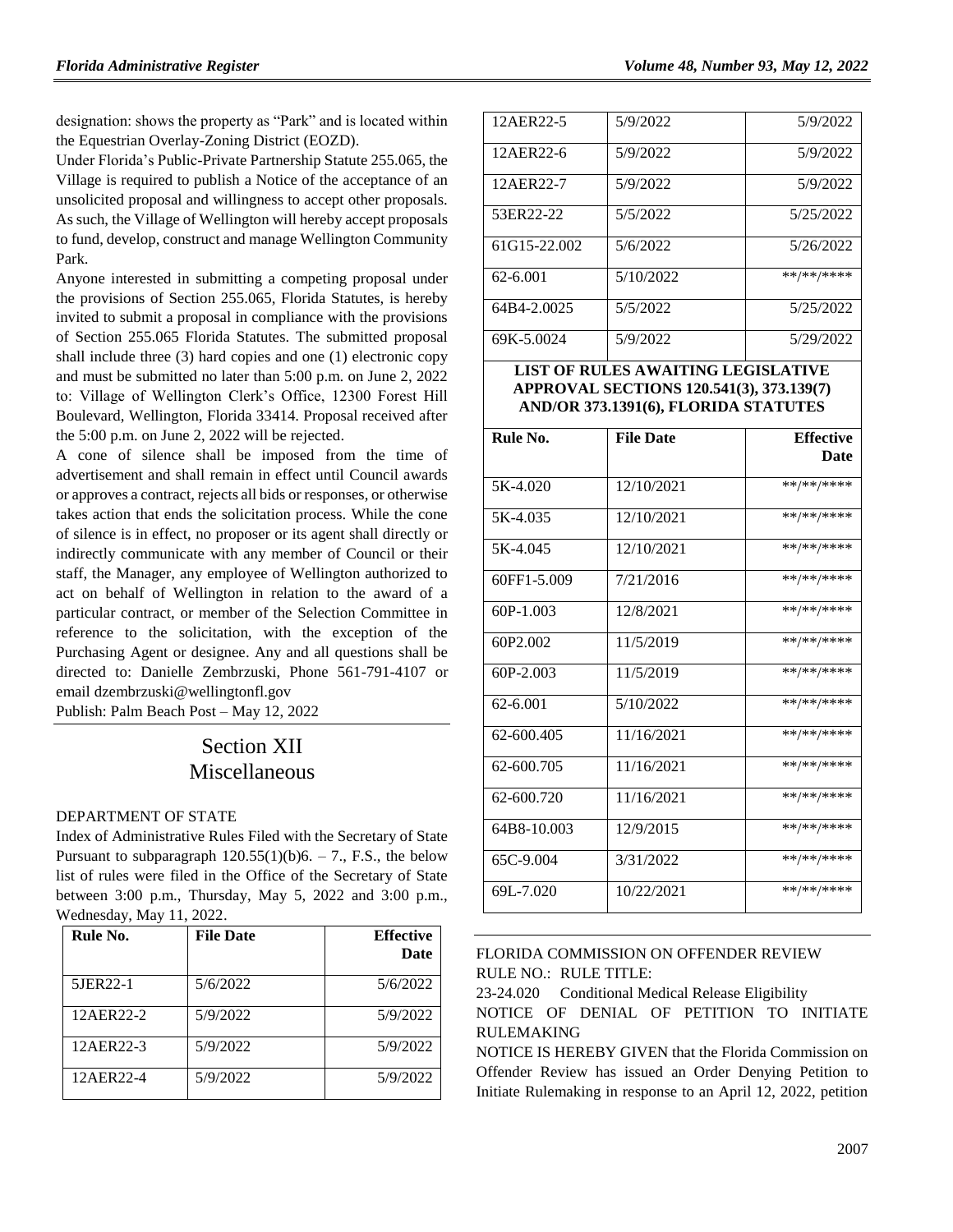designation: shows the property as "Park" and is located within the Equestrian Overlay-Zoning District (EOZD).

Under Florida's Public-Private Partnership Statute 255.065, the Village is required to publish a Notice of the acceptance of an unsolicited proposal and willingness to accept other proposals. As such, the Village of Wellington will hereby accept proposals to fund, develop, construct and manage Wellington Community Park.

Anyone interested in submitting a competing proposal under the provisions of Section 255.065, Florida Statutes, is hereby invited to submit a proposal in compliance with the provisions of Section 255.065 Florida Statutes. The submitted proposal shall include three (3) hard copies and one (1) electronic copy and must be submitted no later than 5:00 p.m. on June 2, 2022 to: Village of Wellington Clerk's Office, 12300 Forest Hill Boulevard, Wellington, Florida 33414. Proposal received after the 5:00 p.m. on June 2, 2022 will be rejected.

A cone of silence shall be imposed from the time of advertisement and shall remain in effect until Council awards or approves a contract, rejects all bids or responses, or otherwise takes action that ends the solicitation process. While the cone of silence is in effect, no proposer or its agent shall directly or indirectly communicate with any member of Council or their staff, the Manager, any employee of Wellington authorized to act on behalf of Wellington in relation to the award of a particular contract, or member of the Selection Committee in reference to the solicitation, with the exception of the Purchasing Agent or designee. Any and all questions shall be directed to: Danielle Zembrzuski, Phone 561-791-4107 or emai[l dzembrzuski@wellingtonfl.gov](mailto:dzembrzuski@wellingtonfl.gov)

Publish: Palm Beach Post – May 12, 2022

# Section XII Miscellaneous

#### [DEPARTMENT OF STATE](https://www.flrules.org/gateway/department.asp?id=1)

Index of Administrative Rules Filed with the Secretary of State Pursuant to subparagraph  $120.55(1)(b)6. - 7$ ., F.S., the below list of rules were filed in the Office of the Secretary of State between 3:00 p.m., Thursday, May 5, 2022 and 3:00 p.m., Wednesday, May 11, 2022.

| Rule No.  | <b>File Date</b> | <b>Effective</b><br><b>Date</b> |
|-----------|------------------|---------------------------------|
| 5JER22-1  | 5/6/2022         | 5/6/2022                        |
| 12AER22-2 | 5/9/2022         | 5/9/2022                        |
| 12AER22-3 | 5/9/2022         | 5/9/2022                        |
| 12AER22-4 | 5/9/2022         | 5/9/2022                        |

| 12AER22-5    | 5/9/2022  | 5/9/2022   |
|--------------|-----------|------------|
| 12AER22-6    | 5/9/2022  | 5/9/2022   |
| 12AER22-7    | 5/9/2022  | 5/9/2022   |
| 53ER22-22    | 5/5/2022  | 5/25/2022  |
| 61G15-22.002 | 5/6/2022  | 5/26/2022  |
| 62-6.001     | 5/10/2022 | **/**/**** |
| 64B4-2.0025  | 5/5/2022  | 5/25/2022  |
| 69K-5.0024   | 5/9/2022  | 5/29/2022  |

#### **LIST OF RULES AWAITING LEGISLATIVE APPROVAL SECTIONS 120.541(3), 373.139(7) AND/OR 373.1391(6), FLORIDA STATUTES**

| Rule No.             | <b>File Date</b> | <b>Effective</b><br>Date |
|----------------------|------------------|--------------------------|
|                      |                  |                          |
| 5K-4.020             | 12/10/2021       | **/**/****               |
| 5K-4.035             | 12/10/2021       | **/**/****               |
| 5K-4.045             | 12/10/2021       | **/**/****               |
| 60FF1-5.009          | 7/21/2016        | **/**/****               |
| $60P-1.003$          | 12/8/2021        | **/**/****               |
| 60P <sub>2.002</sub> | 11/5/2019        | **/**/****               |
| $60P-2.003$          | 11/5/2019        | **/**/****               |
| $62 - 6.001$         | 5/10/2022        | **/**/****               |
| 62-600.405           | 11/16/2021       | **/**/****               |
| 62-600.705           | 11/16/2021       | **/**/****               |
| 62-600.720           | 11/16/2021       | **/**/****               |
| 64B8-10.003          | 12/9/2015        | **/**/****               |
| 65C-9.004            | 3/31/2022        | **/**/****               |
| 69L-7.020            | 10/22/2021       | **/**/****               |

#### [FLORIDA COMMISSION ON OFFENDER REVIEW](https://www.flrules.org/gateway/department.asp?id=23) RULE NO.: RULE TITLE:

[23-24.020](https://www.flrules.org/gateway/ruleNo.asp?id=23-24.020) Conditional Medical Release Eligibility NOTICE OF DENIAL OF PETITION TO INITIATE RULEMAKING

NOTICE IS HEREBY GIVEN that the Florida Commission on Offender Review has issued an Order Denying Petition to Initiate Rulemaking in response to an April 12, 2022, petition